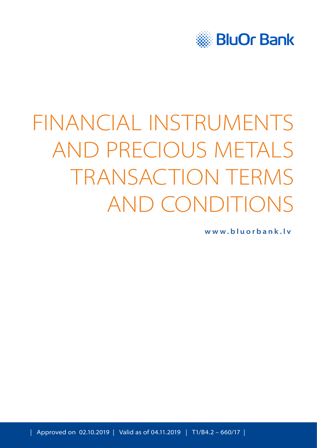

# FINANCIAL INSTRUMENTS AND PRECIOUS METALS TRANSACTION TERMS AND CONDITIONS

**[www.bluorbank.lv](https://www.bluorbank.lv/en/index)**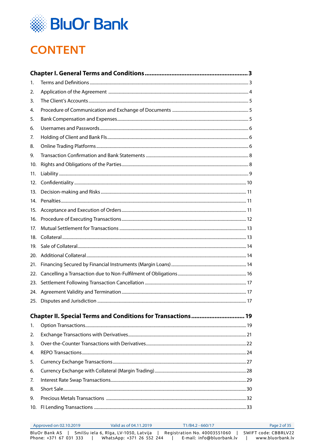

# **CONTENT**

| 1.              |                                                              |  |
|-----------------|--------------------------------------------------------------|--|
| 2.              |                                                              |  |
| 3.              |                                                              |  |
| 4.              |                                                              |  |
| 5.              |                                                              |  |
| 6.              |                                                              |  |
| 7.              |                                                              |  |
| 8.              |                                                              |  |
| 9.              |                                                              |  |
| 10.             |                                                              |  |
| 11.             |                                                              |  |
| 12.             |                                                              |  |
| 13.             |                                                              |  |
| 14 <sub>1</sub> |                                                              |  |
| 15.             |                                                              |  |
| 16.             |                                                              |  |
| 17.             |                                                              |  |
|                 |                                                              |  |
| 19.             |                                                              |  |
| 20.             |                                                              |  |
| 21.             |                                                              |  |
|                 |                                                              |  |
|                 |                                                              |  |
|                 |                                                              |  |
| 25.             |                                                              |  |
|                 | Chapter II. Special Terms and Conditions for Transactions 19 |  |
| 1.              |                                                              |  |
| 2.              |                                                              |  |
| 3.              |                                                              |  |
| 4.              |                                                              |  |
| 5.              |                                                              |  |
| 6.              |                                                              |  |
| 7.              |                                                              |  |
| 8.              |                                                              |  |
| 9.              |                                                              |  |
|                 |                                                              |  |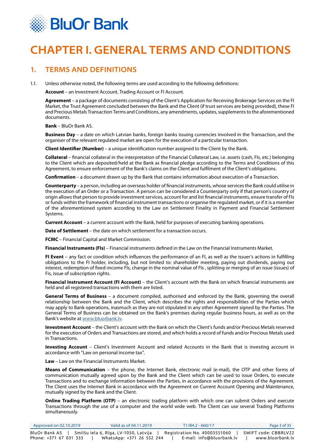<span id="page-2-0"></span>

## **CHAPTER I. GENERAL TERMS AND CONDITIONS**

## **1. TERMS AND DEFINITIONS**

1.1. Unless otherwise noted, the following terms are used according to the following definitions:

**Account** – an Investment Account, Trading Account or FI Account.

**Agreement** – a package of documents consisting of the Client's Application for Receiving Brokerage Services on the FI Market, the Trust Agreement concluded between the Bank and the Client (if trust services are being provided), these FI and Precious Metals Transaction Terms and Conditions, any amendments, updates, supplements to the aforementioned documents.

**Bank** – BluOr Bank AS.

**Business Day** – a date on which Latvian banks, foreign banks issuing currencies involved in the Transaction, and the organiser of the relevant regulated market are open for the execution of a particular transaction.

**Client Identifier (Number)** – a unique identification number assigned to the Client by the Bank.

**Collateral** – financial collateral in the interpretation of the Financial Collateral Law, i.e. assets (cash, FIs, etc.) belonging to the Client which are deposited/held at the Bank as financial pledge according to the Terms and Conditions of this Agreement, to ensure enforcement of the Bank's claims on the Client and fulfilment of the Client's obligations.

**Confirmation** – a document drawn up by the Bank that contains information about execution of a Transaction.

**Counterparty** – a person, including an overseas holder of financial instruments, whose services the Bank could utilise in the execution of an Order or a Transaction. A person can be considered a Counterparty only if that person's country of origin allows that person to provide investment services, account for and list financial instruments, ensure transfer of FIs or funds within the framework of financial instrument transactions or organise the regulated market, or if it is a member of the aforementioned system according to the Law on Settlement Finality in Payment and Financial Settlement Systems.

**Current Account** – a current account with the Bank, held for purposes of executing banking operations.

**Date of Settlement** – the date on which settlement for a transaction occurs.

**FCMC** – Financial Capital and Market Commission.

**Financial Instruments (FIs)** – Financial instruments defined in the Law on the Financial Instruments Market.

**FI Event** – any fact or condition which influences the performance of an FI, as well as the issuer's actions in fulfilling obligations to the FI holder, including, but not limited to: shareholder meeting, paying out dividends, paying out interest, redemption of fixed-income FIs, change in the nominal value of FIs , splitting or merging of an issue (issues) of Fis, issue of subscription rights.

**Financial Instrument Account (FI Account)** – the Client's account with the Bank on which financial instruments are held and all registered transactions with them are listed.

**General Terms of Business** – a document compiled, authorised and enforced by the Bank, governing the overall relationship between the Bank and the Client, which describes the rights and responsibilities of the Parties which may apply to Bank operations, inasmuch as they are not stipulated in any other Agreement signed by the Parties. The General Terms of Business can be obtained on the Bank's premises during regular business hours, as well as on the Bank's website at [www.bluorbank.lv](https://www.bluorbank.lv/en/index).

**Investment Account** – the Client's account with the Bank on which the Client's funds and/or Precious Metals reserved for the execution of Orders and Transactions are stored, and which holds a record of funds and/or Precious Metals used in Transactions.

**Investing Account** – Client's Investment Account and related Accounts in the Bank that is investing account in accordance with "Law on personal income tax".

**Law** – Law on the Financial Instruments Market.

**Means of Communication** – the phone, the Internet Bank, electronic mail (e-mail), the OTP and other forms of communication mutually agreed upon by the Bank and the Client which can be used to issue Orders, to execute Transactions and to exchange information between the Parties, in accordance with the provisions of the Agreement. The Client uses the Internet Bank in accordance with the Agreement on Current Account Opening and Maintenance, mutually signed by the Bank and the Client.

**Online Trading Platform (OTP)** – an electronic trading platform with which one can submit Orders and execute Transactions through the use of a computer and the world wide web. The Client can use several Trading Platforms simultaneously.

| $\Delta$ Approved on 02.10.2019         | Valid as of 04.11.2019                     | T1/B4.2 - 660/17             | Page 3 of 35                             |
|-----------------------------------------|--------------------------------------------|------------------------------|------------------------------------------|
| BluOr Bank AS<br>Phone: +371 67 031 333 | ,    Smilšu iela 6, Rīga, LV-1050, Latvija | Registration No. 40003551060 | SWIFT code: CBBRLV22<br>www.bluorbank.lv |
|                                         | WhatsApp: +371 26 552 244                  | E-mail: info@bluorbank.lv    |                                          |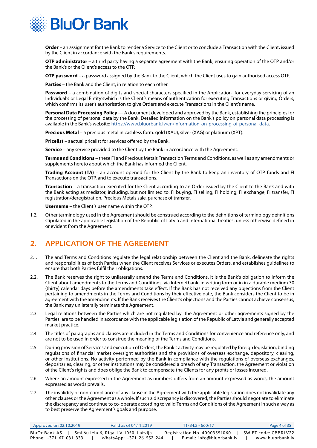<span id="page-3-0"></span>

**Order** – an assignment for the Bank to render a Service to the Client or to conclude a Transaction with the Client, issued by the Client in accordance with the Bank's requirements.

**OTP administrator** – a third party having a separate agreement with the Bank, ensuring operation of the OTP and/or the Bank's or the Client's access to the OTP.

**OTP password** – a password assigned by the Bank to the Client, which the Client uses to gain authorised access OTP.

**Parties** – the Bank and the Client, in relation to each other.

**Password** – a combination of digits and special characters specified in the Application for everyday servicing of an Individual's or Legal Entity'swhich is the Client's means of authentication for executing Transactions or giving Orders, which confirms its user's authorisation to give Orders and execute Transactions in the Client's name.

**Personal Data Processing Policy** — A document developed and approved by the Bank, establishing the principles for the processing of personal data by the Bank. Detailed information on the Bank's policy on personal data processing is available in the Bank's website:<https://www.bluorbank.lv/en/information-on-processing-of-personal-data>.

**Precious Metal** – a precious metal in cashless form: gold (XAU), silver (XAG) or platinum (XPT).

**Pricelist** – aactual pricelist for services offered by the Bank.

**Service** – any service provided to the Client by the Bank in accordance with the Agreement.

**Terms and Conditions** – these FI and Precious Metals Transaction Terms and Conditions, as well as any amendments or supplements hereto about which the Bank has informed the Client.

**Trading Account (TA)** – an account opened for the Client by the Bank to keep an inventory of OTP funds and FI Transactions on the OTP, and to execute transactions.

**Transaction** – a transaction executed for the Client according to an Order issued by the Client to the Bank and with the Bank acting as mediator, including, but not limited to: FI buying, FI selling, FI holding, FI exchange, FI transfer, FI registration/deregistration, Precious Metals sale, purchase of transfer.

**Username** – the Client's user name within the OTP.

1.2. Other terminology used in the Agreement should be construed according to the definitions of terminology definitions stipulated in the applicable legislation of the Republic of Latvia and international treaties, unless otherwise defined in or evident from the Agreement.

## **2. APPLICATION OF THE AGREEMENT**

- 2.1. The and Terms and Conditions regulate the legal relationship between the Client and the Bank, delineate the rights and responsibilities of both Parties when the Client receives Services or executes Orders, and establishes guidelines to ensure that both Parties fulfil their obligations.
- 2.2. The Bank reserves the right to unilaterally amend the Terms and Conditions. It is the Bank's obligation to inform the Client about amendments to the Terms and Conditions, via Internetbank, in writing form or in in a durable medium 30 (thirty) calendar days before the amendments take effect. If the Bank has not received any objections from the Client pertaining to amendments in the Terms and Conditions by their effective date, the Bank considers the Client to be in agreement with the amendments. If the Bank receives the Client's objections and the Parties cannot achieve consensus, the Bank may unilaterally terminate the Agreement.
- 2.3. Legal relations between the Parties which are not regulated by the Agreement or other agreements signed by the Parties, are to be handled in accordance with the applicable legislation of the Republic of Latvia and generally accepted market practice.
- 2.4. The titles of paragraphs and clauses are included in the Terms and Conditions for convenience and reference only, and are not to be used in order to construe the meaning of the Terms and Conditions.
- 2.5. During provision of Services and execution of Orders, the Bank's activity may be regulated by foreign legislation, binding regulations of financial market oversight authorities and the provisions of overseas exchange, depository, clearing, or other institutions. No activity performed by the Bank in compliance with the regulations of overseas exchanges, depositaries, clearing, or other institutions may be considered a breach of any Transaction, the Agreement or violation of the Client's rights and does oblige the Bank to compensate the Clients for any profits or losses incurred.
- 2.6. Where an amount expressed in the Agreement as numbers differs from an amount expressed as words, the amount expressed as words prevails.
- 2.7. The invalidity or non-compliance of any clause in the Agreement with the applicable legislation does not invalidate any other clauses or the Agreement as a whole. If such a discrepancy is discovered, the Parties should negotiate to eliminate the discrepancy and continue to co-operate according to valid Terms and Conditions of the Agreement in such a way as to best preserve the Agreement's goals and purpose.

| Approved on 02.10.2019 | Valid as of 04.11.2019                | T1/B4.2 - 660/17             | Page 4 of 35         |
|------------------------|---------------------------------------|------------------------------|----------------------|
| BluOr Bank AS          | Smilšu iela 6, Rīga, LV-1050, Latvija | Registration No. 40003551060 | SWIFT code: CBBRLV22 |
| Phone: +371 67 031 333 | WhatsApp: +371 26 552 244             | E-mail: info@bluorbank.lv    | www.bluorbank.lv     |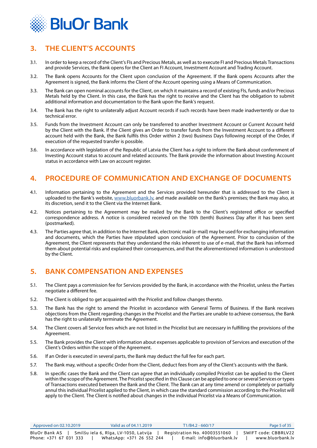<span id="page-4-0"></span>

## **3. THE CLIENT'S ACCOUNTS**

- 3.1. In order to keep a record of the Client's FIs and Precious Metals, as well as to execute FI and Precious Metals Transactions and provide Services, the Bank opens for the Client an FI Account, Investment Account and Trading Account.
- 3.2. The Bank opens Accounts for the Client upon conclusion of the Agreement. If the Bank opens Accounts after the Agreement is signed, the Bank informs the Client of the Account opening using a Means of Communication.
- 3.3. The Bank can open nominal accounts for the Client, on which it maintains a record of existing FIs, funds and/or Precious Metals held by the Client. In this case, the Bank has the right to receive and the Client has the obligation to submit additional information and documentation to the Bank upon the Bank's request.
- 3.4. The Bank has the right to unilaterally adjust Account records if such records have been made inadvertently or due to technical error.
- 3.5. Funds from the Investment Account can only be transferred to another Investment Account or Current Account held by the Client with the Bank. If the Client gives an Order to transfer funds from the Investment Account to a different account held with the Bank, the Bank fulfils this Order within 2 (two) Business Days following receipt of the Order, if execution of the requested transfer is possible.
- 3.6. In accordance with legislation of the Republic of Latvia the Client has a right to inform the Bank about confernment of Investing Account status to account and related accounts. The Bank provide the information about Investing Account status in accordance with Law on account register.

## **4. PROCEDURE OF COMMUNICATION AND EXCHANGE OF DOCUMENTS**

- 4.1. Information pertaining to the Agreement and the Services provided hereunder that is addressed to the Client is uploaded to the Bank's website, www.bluorbank.ly, and made available on the Bank's premises; the Bank may also, at its discretion, send it to the Client via the Internet Bank.
- 4.2. Notices pertaining to the Agreement may be mailed by the Bank to the Client's registered office or specified correspondence address. A notice is considered received on the 10th (tenth) Business Day after it has been sent (postmarked).
- 4.3. The Parties agree that, in addition to the Internet Bank, electronic mail (e-mail) may be used for exchanging information and documents, which the Parties have stipulated upon conclusion of the Agreement. Prior to conclusion of the Agreement, the Client represents that they understand the risks inherent to use of e-mail, that the Bank has informed them about potential risks and explained their consequences, and that the aforementioned information is understood by the Client.

## **5. BANK COMPENSATION AND EXPENSES**

- 5.1. The Client pays a commission fee for Services provided by the Bank, in accordance with the Pricelist, unless the Parties negotiate a different fee.
- 5.2. The Client is obliged to get acquainted with the Pricelist and follow changes thereto.
- 5.3. The Bank has the right to amend the Pricelist in accordance with General Terms of Business. If the Bank receives objections from the Client regarding changes in the Pricelist and the Parties are unable to achieve consensus, the Bank has the right to unilaterally terminate the Agreement.
- 5.4. The Client covers all Service fees which are not listed in the Pricelist but are necessary in fulfilling the provisions of the Agreement.
- 5.5. The Bank provides the Client with information about expenses applicable to provision of Services and execution of the Client's Orders within the scope of the Agreement.
- 5.6. If an Order is executed in several parts, the Bank may deduct the full fee for each part.
- 5.7. The Bank may, without a specific Order from the Client, deduct fees from any of the Client's accounts with the Bank.
- 5.8. In specific cases the Bank and the Client can agree that an individually compiled Pricelist can be applied to the Client within the scope of the Agreement. The Pricelist specified in this Clause can be applied to one or several Services or types of Transactions executed between the Bank and the Client. The Bank can at any time amend or completely or partially annul this individual Pricelist applied to the Client, in which case the standard commission according to the Pricelist will apply to the Client. The Client is notified about changes in the individual Pricelist via a Means of Communication.

| Approved on 02.10.2019 | Valid as of 04.11.2019                | T1/B4.2 - 660/17             | Page 5 of 35         |
|------------------------|---------------------------------------|------------------------------|----------------------|
| BluOr Bank AS          | Smilšu iela 6, Rīga, LV-1050, Latvija | Registration No. 40003551060 | SWIFT code: CBBRLV22 |
| Phone: +371 67 031 333 | WhatsApp: +371 26 552 244             | E-mail: info@bluorbank.lv    | www.bluorbank.lv     |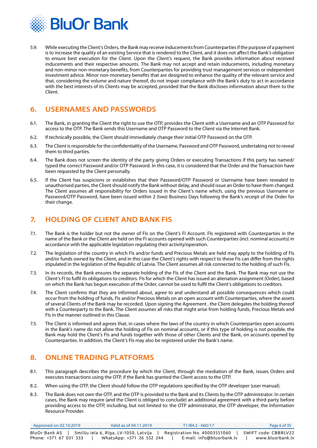<span id="page-5-0"></span>

5.9. While executing the Client's Orders, the Bank may receive inducements from Counterparties if the purpose of a payment is to increase the quality of an existing Service that is rendered to the Client, and it does not affect the Bank's obligation to ensure best execution for the Client. Upon the Client's request, the Bank provides information about received inducements and their respective amounts. The Bank may not accept and retain inducements, including monetary and non-minor non-monetary benefits, from Counterparties for providing trust management services or independent investment advice. Minor non-monetary benefits that are designed to enhance the quality of the relevant service and that, considering the volume and nature thereof, do not impair compliance with the Bank's duty to act in accordance with the best interests of its Clients may be accepted, provided that the Bank discloses information about them to the Client.

## **6. USERNAMES AND PASSWORDS**

- 6.1. The Bank, in granting the Client the right to use the OTP, provides the Client with a Username and an OTP Password for access to the OTP. The Bank sends this Username and OTP Password to the Client via the Internet Bank.
- 6.2. If technically possible, the Client should immediately change their initial OTP Password on the OTP.
- 6.3. The Client is responsible for the confidentiality of the Username, Password and OTP Password, undertaking not to reveal them to third parties.
- 6.4. The Bank does not screen the identity of the party giving Orders or executing Transactions if this party has named/ typed the correct Password and/or OTP Password. In this case, it is considered that the Order and the Transaction have been requested by the Client personally.
- 6.5. If the Client has suspicions or establishes that their Password/OTP Password or Username have been revealed to unauthorised parties, the Client should notify the Bank without delay, and should issue an Order to have them changed. The Client assumes all responsibility for Orders issued in the Client's name which, using the previous Username or Password/OTP Password, have been issued within 2 (two) Business Days following the Bank's receipt of the Order for their change.

## **7. HOLDING OF CLIENT AND BANK FIS**

- 7.1. The Bank is the holder but not the owner of FIs on the Client's FI Account. FIs registered with Counterparties in the name of the Bank or the Client are held on the FI accounts opened with such Counterparties (incl. nominal accounts) in accordance with the applicable legislation regulating their activity/operation.
- 7.2. The legislation of the country in which FIs and/or funds and Precious Metals are held may apply to the holding of FIs and/or funds owned by the Client, and in this case the Client's rights with respect to these FIs can differ from the rights stipulated in the legislation of the Republic of Latvia. The Client assumes all risk connected to the holding of such FIs.
- 7.3. In its records, the Bank ensures the separate holding of the FIs of the Client and the Bank. The Bank may not use the Client's FI to fulfil its obligations to creditors. FIs for which the Client has issued an alienation assignment (Order), based on which the Bank has begun execution of the Order, cannot be used to fulfil the Client's obligations to creditors.
- 7.4. The Client confirms that they are informed about, agree to and understand all possible consequences which could occur from the holding of funds, FIs and/or Precious Metals on an open account with Counterparties, where the assets of several Clients of the Bank may be recorded. Upon signing the Agreement , the Client delegates the holding thereof with a Counterparty to the Bank. The Client assumes all risks that might arise from holding funds, Precious Metals and FIs in the manner outlined in this Clause.
- 7.5. The Client is informed and agrees that, in cases where the laws of the country in which Counterparties open accounts in the Bank's name do not allow the holding of FIs on nominal accounts, or if this type of holding is not possible, the Bank may hold the Client's FIs and funds together with those of other Clients and the Bank, on accounts opened by Counterparties. In addition, the Client's FIs may also be registered under the Bank's name.

## **8. ONLINE TRADING PLATFORMS**

- 8.1. This paragraph describes the procedure by which the Client, through the mediation of the Bank, issues Orders and executes transactions using the OTP, if the Bank has granted the Client access to the OTP.
- 8.2. When using the OTP, the Client should follow the OTP regulations specified by the OTP developer (user manual).
- 8.3. The Bank does not own the OTP, and the OTP is provided to the Bank and its Clients by the OTP administrator. In certain cases, the Bank may require (and the Client is obliged to conclude) an additional agreement with a third party before providing access to the OTP, including, but not limited to: the OTP administrator, the OTP developer, the Information Resource Provider.

| Approved on 02.10.2019 | Valid as of 04.11.2019                | $T1/B4.2 - 660/17$           | Page 6 of 35         |
|------------------------|---------------------------------------|------------------------------|----------------------|
| BluOr Bank AS          | Smilšu iela 6, Rīga, LV-1050, Latvija | Registration No. 40003551060 | SWIFT code: CBBRLV22 |
| Phone: +371 67 031 333 | WhatsApp: +371 26 552 244             | E-mail: info@bluorbank.lv    | www.bluorbank.lv     |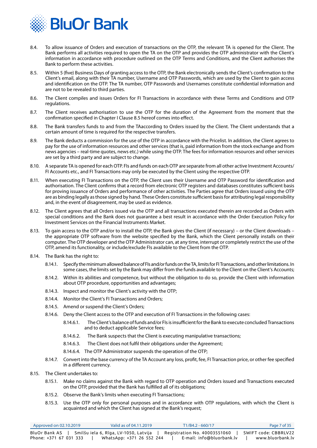

- 8.4. To allow issuance of Orders and execution of transactions on the OTP, the relevant TA is opened for the Client. The Bank performs all activities required to open the TA on the OTP and provides the OTP administrator with the Client's information in accordance with procedure outlined on the OTP Terms and Conditions, and the Client authorises the Bank to perform these activities.
- 8.5. Within 5 (five) Business Days of granting access to the OTP, the Bank electronically sends the Client's confirmation to the Client's email, along with their TA number, Username and OTP Passwords, which are used by the Client to gain access and identification on the OTP. The TA number, OTP Passwords and Usernames constitute confidential information and are not to be revealed to third parties.
- 8.6. The Client compiles and issues Orders for FI Transactions in accordance with these Terms and Conditions and OTP regulations.
- 8.7. The Client receives authorisation to use the OTP for the duration of the Agreement from the moment that the confirmation specified in Chapter I Clause 8.5 hereof comes into effect.
- 8.8. The Bank transfers funds to and from the TAaccording to Orders issued by the Client. The Client understands that a certain amount of time is required for the respective transfers.
- 8.9. The Bank deducts a commission for the use of the OTP in accordance with the Pricelist. In addition, the Client agrees to pay for the use of information resources and other services (that is, paid information from the stock exchange and from news agencies – real-time quotes, news etc.) while using the OTP. The fees for information resources and other services are set by a third party and are subject to change.
- 8.10. A separate TA is opened for each OTP. FIs and funds on each OTP are separate from all other active Investment Accounts/ FI Accounts etc., and FI Transactions may only be executed by the Client using the respective OTP.
- 8.11. When executing FI Transactions on the OTP, the Client uses their Username and OTP Password for identification and authorisation. The Client confirms that a record from electronic OTP registers and databases constitutes sufficient basis for proving issuance of Orders and performance of other activities. The Parties agree that Orders issued using the OTP are as binding legally as those signed by hand. These Orders constitute sufficient basis for attributing legal responsibility and, in the event of disagreement, may be used as evidence.
- 8.12. The Client agrees that all Orders issued via the OTP and all transactions executed therein are recorded as Orders with special conditions and the Bank does not guarantee a best result in accordance with the Order Execution Policy for Investment Services on the Financial Instruments Market.
- 8.13. To gain access to the OTP and/or to install the OTP, the Bank gives the Client (if necessary) or the Client downloads the appropriate OTP software from the website specified by the Bank, which the Client personally installs on their computer. The OTP developer and the OTP Administrator can, at any time, interrupt or completely restrict the use of the OTP, amend its functionality, or include/exclude FIs available to the Client from the OTP.
- 8.14. The Bank has the right to:
	- 8.14.1. Specify the minimum allowed balance of FIs and/or funds on the TA, limits for FI Transactions, and other limitations. In some cases, the limits set by the Bank may differ from the funds available to the Client on the Client's Accounts;
	- 8.14.2. Within its abilities and competence, but without the obligation to do so, provide the Client with information about OTP procedure, opportunities and advantages;
	- 8.14.3. Inspect and monitor the Client's activity with the OTP;
	- 8.14.4. Monitor the Client's FI Transactions and Orders;
	- 8.14.5. Amend or suspend the Client's Orders;
	- 8.14.6. Deny the Client access to the OTP and execution of FI Transactions in the following cases:
		- 8.14.6.1. The Client's balance of funds and/or FIs is insufficient for the Bank to execute concluded Transactions and to deduct applicable Service fees;
		- 8.14.6.2. The Bank suspects that the Client is executing manipulative transactions;
		- 8.14.6.3. The Client does not fulfil their obligations under the Agreement;
		- 8.14.6.4. The OTP Administrator suspends the operation of the OTP;
	- 8.14.7. Convert into the base currency of the TA Account any loss, profit, fee, FI Transaction price, or other fee specified in a different currency.
- 8.15. The Client undertakes to:
	- 8.15.1. Make no claims against the Bank with regard to OTP operation and Orders issued and Transactions executed on the OTP, provided that the Bank has fulfilled all of its obligations;
	- 8.15.2. Observe the Bank's limits when executing FI Transactions;
	- 8.15.3. Use the OTP only for personal purposes and in accordance with OTP regulations, with which the Client is acquainted and which the Client has signed at the Bank's request;

| Approved on 02.10.2019 | Valid as of 04.11.2019                | T1/B4.2 - 660/17             | Page 7 of 35         |
|------------------------|---------------------------------------|------------------------------|----------------------|
| BluOr Bank AS          | Smilšu iela 6, Rīga, LV-1050, Latvija | Registration No. 40003551060 | SWIFT code: CBBRLV22 |
| Phone: +371 67 031 333 | WhatsApp: +371 26 552 244             | E-mail: info@bluorbank.lv    | www.bluorbank.lv     |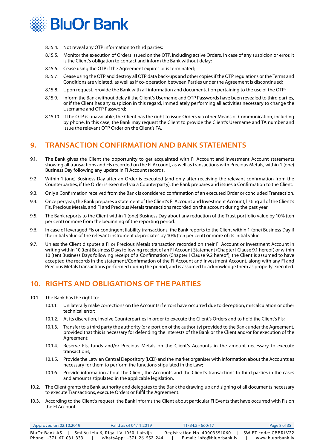<span id="page-7-0"></span>

- 8.15.4. Not reveal any OTP information to third parties;
- 8.15.5. Monitor the execution of Orders issued on the OTP, including active Orders. In case of any suspicion or error, it is the Client's obligation to contact and inform the Bank without delay;
- 8.15.6. Cease using the OTP if the Agreement expires or is terminated;
- 8.15.7. Cease using the OTP and destroy all OTP data back-ups and other copies if the OTP regulations or the Terms and Conditions are violated, as well as if co-operation between Parties under the Agreement is discontinued;
- 8.15.8. Upon request, provide the Bank with all information and documentation pertaining to the use of the OTP;
- 8.15.9. Inform the Bank without delay if the Client's Username and OTP Passwords have been revealed to third parties, or if the Client has any suspicion in this regard, immediately performing all activities necessary to change the Username and OTP Password;
- 8.15.10. If the OTP is unavailable, the Client has the right to issue Orders via other Means of Communication, including by phone. In this case, the Bank may request the Client to provide the Client's Username and TA number and issue the relevant OTP Order on the Client's TA.

### **9. TRANSACTION CONFIRMATION AND BANK STATEMENTS**

- 9.1. The Bank gives the Client the opportunity to get acquainted with FI Account and Investment Account statements showing all transactions and FIs recorded on the FI Account, as well as transactions with Precious Metals, within 1 (one) Business Day following any update in FI Account records.
- 9.2. Within 1 (one) Business Day after an Order is executed (and only after receiving the relevant confirmation from the Counterparties, if the Order is executed via a Counterparty), the Bank prepares and issues a Confirmation to the Client.
- 9.3. Only a Confirmation received from the Bank is considered confirmation of an executed Order or concluded Transaction.
- 9.4. Once per year, the Bank prepares a statement of the Client's FI Account and Investment Account, listing all of the Client's FIs, Precious Metals, and FI and Precious Metals transactions recorded on the account during the past year.
- 9.5. The Bank reports to the Client within 1 (one) Business Day about any reduction of the Trust portfolio value by 10% (ten per cent) or more from the beginning of the reporting period.
- 9.6. In case of leveraged FIs or contingent liability transactions, the Bank reports to the Client within 1 (one) Business Day if the initial value of the relevant instrument depreciates by 10% (ten per cent) or more of its initial value.
- 9.7. Unless the Client disputes a FI or Precious Metals transaction recorded on their FI Account or Investment Account in writing within 10 (ten) Business Days following receipt of an FI Account Statement (Chapter I Clause 9.1 hereof) or within 10 (ten) Business Days following receipt of a Confirmation (Chapter I Clause 9.2 hereof), the Client is assumed to have accepted the records in the statement/Confirmation of the FI Account and Investment Account, along with any FI and Precious Metals transactions performed during the period, and is assumed to acknowledge them as properly executed.

## **10. RIGHTS AND OBLIGATIONS OF THE PARTIES**

- 10.1. The Bank has the right to:
	- 10.1.1. Unilaterally make corrections on the Accounts if errors have occurred due to deception, miscalculation or other technical error;
	- 10.1.2. At its discretion, involve Counterparties in order to execute the Client's Orders and to hold the Client's FIs;
	- 10.1.3. Transfer to a third party the authority (or a portion of the authority) provided to the Bank under the Agreement, provided that this is necessary for defending the interests of the Bank or the Client and/or for execution of the Agreement;
	- 10.1.4. Reserve FIs, funds and/or Precious Metals on the Client's Accounts in the amount necessary to execute transactions;
	- 10.1.5. Provide the Latvian Central Depository (LCD) and the market organiser with information about the Accounts as necessary for them to perform the functions stipulated in the Law;
	- 10.1.6. Provide information about the Client, the Accounts and the Client's transactions to third parties in the cases and amounts stipulated in the applicable legislation.
- 10.2. The Client grants the Bank authority and delegates to the Bank the drawing up and signing of all documents necessary to execute Transactions, execute Orders or fulfil the Agreement.
- 10.3. According to the Client's request, the Bank informs the Client about particular FI Events that have occurred with FIs on the FI Account.

| Approved on 02.10.2019 | Valid as of 04.11.2019                | T1/B4.2 - 660/17             | Page 8 of 35         |
|------------------------|---------------------------------------|------------------------------|----------------------|
| BluOr Bank AS          | Smilšu iela 6, Rīga, LV-1050, Latvija | Registration No. 40003551060 | SWIFT code: CBBRLV22 |
| Phone: +371 67 031 333 | WhatsApp: +371 26 552 244             | E-mail: info@bluorbank.lv    | www.bluorbank.lv     |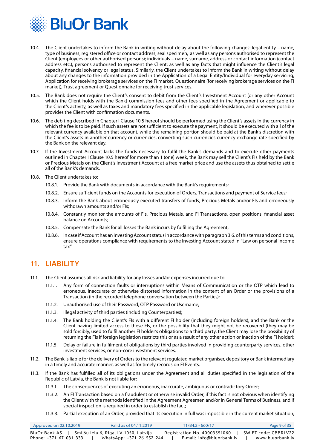<span id="page-8-0"></span>

- 10.4. The Client undertakes to inform the Bank in writing without delay about the following changes: legal entity name, type of business, registered office or contact address, seal specimen, as well as any persons authorised to represent the Client (employees or other authorised persons); individuals – name, surname, address or contact information (contact address etc.), persons authorised to represent the Client; as well as any facts that might influence the Client's legal capacity, financial solvency or legal status. Similarly, the Client undertakes to inform the Bank in writing without delay about any changes to the information provided in the Application of a Legal Entity/Individual for everyday servicing, Application for receiving brokerage services on the FI market, Questionnaire (for receiving brokerage services on the FI market), Trust agreement or Questionnaire for receiving trust services.
- 10.5. The Bank does not require the Client's consent to debit from the Client's Investment Account (or any other Account which the Client holds with the Bank) commission fees and other fees specified in the Agreement or applicable to the Client's activity, as well as taxes and mandatory fees specified in the applicable legislation, and wherever possible provides the Client with confirmation documents.
- 10.6. The debiting described in Chapter I Clause 10.5 hereof should be performed using the Client's assets in the currency in which the fee is to be paid. If such assets are not sufficient to execute the payment, it should be executed with all of the relevant currency available on that account, while the remaining portion should be paid at the Bank's discretion with the Client's assets in another currency or currencies, converting such currencies currency exchange rate specified by the Bank on the relevant day.
- 10.7. If the Investment Account lacks the funds necessary to fulfil the Bank's demands and to execute other payments outlined in Chapter I Clause 10.5 hereof for more than 1 (one) week, the Bank may sell the Client's FIs held by the Bank or Precious Metals on the Client's Investment Account at a free market price and use the assets thus obtained to settle all of the Bank's demands.
- 10.8. The Client undertakes to:
	- 10.8.1. Provide the Bank with documents in accordance with the Bank's requirements;
	- 10.8.2. Ensure sufficient funds on the Accounts for execution of Orders, Transactions and payment of Service fees;
	- 10.8.3. Inform the Bank about erroneously executed transfers of funds, Precious Metals and/or FIs and erroneously withdrawn amounts and/or FIs;
	- 10.8.4. Constantly monitor the amounts of FIs, Precious Metals, and FI Transactions, open positions, financial asset balance on Accounts;
	- 10.8.5. Compensate the Bank for all losses the Bank incurs by fulfilling the Agreement;
	- 10.8.6. In case if Account has an Investing Account status in accordance with paragraph 3.6. of this terms and conditions, ensure operations compliance with requirements to the Investing Account stated in "Law on personal income tax".

## **11. LIABILITY**

- 11.1. The Client assumes all risk and liability for any losses and/or expenses incurred due to:
	- 11.1.1. Any form of connection faults or interruptions within Means of Communication or the OTP which lead to erroneous, inaccurate or otherwise distorted information in the content of an Order or the provisions of a Transaction (in the recorded telephone conversation between the Parties);
	- 11.1.2. Unauthorised use of their Password, OTP Password or Username;
	- 11.1.3. Illegal activity of third parties (including Counterparties);
	- 11.1.4. The Bank holding the Client's FIs with a different FI holder (including foreign holders), and the Bank or the Client having limited access to these FIs, or the possibility that they might not be recovered (they may be sold forcibly, used to fulfil another FI holder's obligations to a third party, the Client may lose the possibility of returning the FIs if foreign legislation restricts this or as a result of any other action or inaction of the FI holder);
	- 11.1.5. Delay or failure in fulfilment of obligations by third parties involved in providing counterparty services, other investment services, or non-core investment services.
- 11.2. The Bank is liable for the delivery of Orders to the relevant regulated market organiser, depository or Bank intermediary in a timely and accurate manner, as well as for timely records on FI Events.
- 11.3. If the Bank has fulfilled all of its obligations under the Agreement and all duties specified in the legislation of the Republic of Latvia, the Bank is not liable for:
	- 11.3.1. The consequences of executing an erroneous, inaccurate, ambiguous or contradictory Order;
	- 11.3.2. An FI Transaction based on a fraudulent or otherwise invalid Order, if this fact is not obvious when identifying the Client with the methods identified in the Agreement Agreemen and/or in General Terms of Business, and if special inspection is required in order to establish the fact;
	- 11.3.3. Partial execution of an Order, provided that its execution in full was impossible in the current market situation;

| Approved on 02.10.2019 | Valid as of 04.11.2019                | $T1/B4.2 - 660/17$           | Page 9 of 35         |
|------------------------|---------------------------------------|------------------------------|----------------------|
| BluOr Bank AS          | Smilšu iela 6, Rīga, LV-1050, Latvija | Registration No. 40003551060 | SWIFT code: CBBRLV22 |
| Phone: +371 67 031 333 | WhatsApp: +371 26 552 244             | E-mail: info@bluorbank.lv    | www.bluorbank.lv     |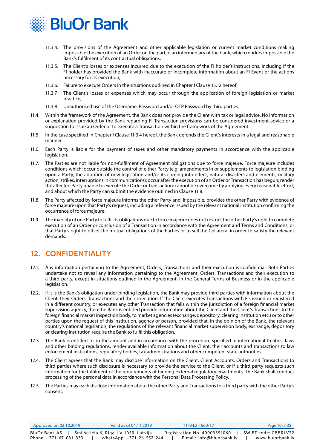<span id="page-9-0"></span>

- 11.3.4. The provisions of the Agreement and other applicable legislation or current market conditions making impossible the execution of an Order on the part of an intermediary of the bank, which renders impossible the Bank's fulfilment of its contractual obligations;
- 11.3.5. The Client's losses or expenses incurred due to the execution of the FI holder's instructions, including if the FI holder has provided the Bank with inaccurate or incomplete information about an FI Event or the actions necessary for its execution;
- 11.3.6. Failure to execute Orders in the situations outlined in Chapter I Clause 15.12 hereof;
- 11.3.7. The Client's losses or expenses which may occur through the application of foreign legislation or market practice;
- 11.3.8. Unauthorised use of the Username, Password and/or OTP Password by third parties.
- 11.4. Within the framework of the Agreement, the Bank does not provide the Client with tax or legal advice. No information or explanation provided by the Bank regarding FI Transaction provisions can be considered investment advice or a suggestion to issue an Order or to execute a Transaction within the framework of the Agreement.
- 11.5. In the case specified in Chapter I Clause 11.3.4 hereof, the Bank defends the Client's interests in a legal and reasonable manner.
- 11.6. Each Party is liable for the payment of taxes and other mandatory payments in accordance with the applicable legislation.
- 11.7. The Parties are not liable for non-fulfilment of Agreement obligations due to force majeure. Force majeure includes conditions which: occur outside the control of either Party (e.g. amendments in or supplements to legislation binding upon a Party, the adoption of new legislation and/or its coming into effect, natural disasters and elements, military action, strikes, interruptions in communications); occur after the execution of an Order or Transaction has begun; render the affected Party unable to execute the Order or Transaction; cannot be overcome by applying every reasonable effort; and about which the Party can submit the evidence outlined in Clause 11.8.
- 11.8. The Party affected by force majeure informs the other Party and, if possible, provides the other Party with evidence of force majeure upon that Party's request, including a reference issued by the relevant national institution confirming the occurrence of force majeure.
- 11.9. The inability of one Party to fulfil its obligations due to force majeure does not restrict the other Party's right to complete execution of an Order or conclusion of a Transaction in accordance with the Agreement and Terms and Conditions, or that Party's right to offset the mutual obligations of the Parties or to sell the Collateral in order to satisfy the relevant demands.

## **12. CONFIDENTIALITY**

- 12.1. Any information pertaining to the Agreement, Orders, Transactions and their execution is confidential. Both Parties undertake not to reveal any information pertaining to the Agreement, Orders, Transactions and their execution to a third party, except in situations outlined in the Agreement, in the General Terms of Business or in the applicable legislation.
- 12.2. If it is the Bank's obligation under binding legislation, the Bank may provide third parties with information about the Client, their Orders, Transactions and their execution. If the Client executes Transactions with FIs issued or registered in a different country, or executes any other Transaction that falls within the jurisdiction of a foreign financial market supervision agency, then the Bank is entitled provide information about the Client and the Client's Transactions to the foreign financial market inspection body, to market agencies (exchange, depository, clearing institution etc.) or to other parties upon the request of this institution, agency or person, provided that, in the opinion of the Bank, the relevant country's national legislation, the regulations of the relevant financial market supervision body, exchange, depository or clearing institution require the Bank to fulfil this obligation.
- 12.3. The Bank is entitled to, in the amount and in accordance with the procedure specified in international treaties, laws and other binding regulations, render available information about the Client, their accounts and transactions to law enforcement institutions, regulatory bodies, tax administrations and other competent state authorities.
- 12.4. The Client agrees that the Bank may disclose information on the Client, Client Accounts, Orders and Transactions to third parties where such disclosure is necessary to provide the service to the Client, or if a third party requests such information for the fulfilment of the requirements of binding external regulatory enactments. The Bank shall conduct processing of the personal data in accordance with the Personal Data Processing Policy.
- 12.5. The Parties may each disclose information about the other Party and Transactions to a third party with the other Party's consent.

| Approved on 02.10.2019 | Valid as of 04.11.2019                | T1/B4.2 - 660/17             | Page 10 of 35        |
|------------------------|---------------------------------------|------------------------------|----------------------|
| BluOr Bank AS          | Smilšu iela 6, Rīga, LV-1050, Latvija | Registration No. 40003551060 | SWIFT code: CBBRLV22 |
| Phone: +371 67 031 333 | WhatsApp: +371 26 552 244             | E-mail: info@bluorbank.lv    | www.bluorbank.lv     |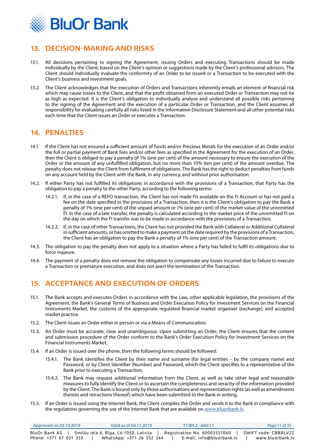<span id="page-10-0"></span>

## **13. DECISION-MAKING AND RISKS**

- 13.1. All decisions pertaining to signing the Agreement, issuing Orders and executing Transactions should be made individually by the Client, based on the Client's opinion or suggestions made by the Client's professional advisors. The Client should individually evaluate the conformity of an Order to be issued or a Transaction to be executed with the Client's business and investment goals.
- 13.2. The Client acknowledges that the execution of Orders and Transactions inherently entails an element of financial risk which may cause losses to the Client, and that the profit obtained from an executed Order or Transaction may not be as high as expected. It is the Client's obligation to individually analyse and understand all possible risks pertaining to the signing of the Agreement and the execution of a particular Order or Transaction, and the Client assumes all responsibility for evaluating carefully all risks listed in the Information Disclosure Statement and all other potential risks each time that the Client issues an Order or executes a Transaction.

## **14. PENALTIES**

- 14.1. If the Client has not ensured a sufficient amount of funds and/or Precious Metals for the execution of an Order and/or the full or partial payment of Bank fees and/or other fees as specified in the Agreement for the execution of an Order, then the Client is obliged to pay a penalty of 1% (one per cent) of the amount necessary to ensure the execution of the Order or the amount of any unfulfilled obligation, but no more than 10% (ten per cent) of the amount overdue. The penalty does not release the Client from fulfilment of obligations. The Bank has the right to deduct penalties from funds on any account held by the Client with the Bank, in any currency, and without prior authorisation.
- 14.2. If either Party has not fulfilled its obligations in accordance with the provisions of a Transaction, that Party has the obligation to pay a penalty to the other Party, according to the following terms:
	- 14.2.1. If, in the case of a REPO transaction, the Client has not made FIs available on the FI Account or has not paid a fee on the date specified in the provisions of a Transaction, then it is the Client's obligation to pay the Bank a penalty of 1% (one per cent) of the unpaid amount or 1% (one per cent) of the market value of the unremitted FI. In the case of a late transfer, the penalty is calculated according to the market price of the unremitted FI on the day on which the FI transfer was to be made in accordance with the provisions of a Transaction;
	- 14.2.2. If, in the case of other Transactions, the Client has not provided the Bank with Collateral or Additional Collateral in sufficient amounts, or has omitted to make a payment on the date required by the provisions of a Transaction, the Client has an obligation to pay the Bank a penalty of 1% (one per cent) of the Transaction amount.
- 14.3. The obligation to pay the penalty does not apply to a situation where a Party has failed to fulfil its obligations due to force majeure.
- 14.4. The payment of a penalty does not remove the obligation to compensate any losses incurred due to failure to execute a Transaction or premature execution, and does not avert the termination of the Transaction.

## **15. ACCEPTANCE AND EXECUTION OF ORDERS**

- 15.1. The Bank accepts and executes Orders in accordance with the Law, other applicable legislation, the provisions of the Agreement, the Bank's General Terms of Business and Order Execution Policy for Investment Services on the Financial Instruments Market, the customs of the appropriate regulated financial market organiser (exchange), and accepted market practice.
- 15.2. The Client issues an Order either in person or via a Means of Communication.
- 15.3. An Order must be accurate, clear and unambiguous. Upon submitting an Order, the Client ensures that the content and submission procedure of the Order conform to the Bank's Order Execution Policy for Investment Services on the Financial Instruments Market.
- 15.4. If an Order is issued over the phone, then the following terms should be followed:
	- 15.4.1. The Bank identifies the Client by their name and surname (for legal entities by the company name) and Password, or by Client Identifier (Number) and Password, which the Client specifies to a representative of the Bank prior to executing a Transaction;
	- 15.4.2. The Bank may request additional information from the Client, as well as take other legal and reasonable measures to fully identify the Client or to ascertain the completeness and veracity of the information provided by the Client. The Bank is bound only by those authorisations and representation rights (as well as amendments thereto and retractions thereof) which have been submitted to the Bank in writing.
- 15.5. If an Order is issued using the Internet Bank, the Client compiles the Order and sends it to the Bank in compliance with the regulations governing the use of the Internet Bank that are available on www.bluorbank.ly.

| Approved on 02.10.2019 | Valid as of 04.11.2019                | T1/B4.2 - 660/17             | Page 11 of 35        |
|------------------------|---------------------------------------|------------------------------|----------------------|
| BluOr Bank AS          | Smilšu iela 6, Rīga, LV-1050, Latvija | Registration No. 40003551060 | SWIFT code: CBBRLV22 |
| Phone: +371 67 031 333 | WhatsApp: +371 26 552 244             | E-mail: info@bluorbank.lv    | www.bluorbank.lv     |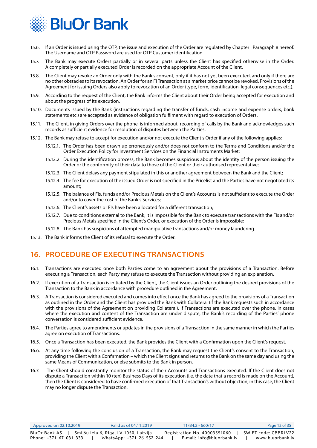<span id="page-11-0"></span>

- 15.6. If an Order is issued using the OTP, the issue and execution of the Order are regulated by Chapter I Paragraph 8 hereof. The Username and OTP Password are used for OTP Customer identification.
- 15.7. The Bank may execute Orders partially or in several parts unless the Client has specified otherwise in the Order. A completely or partially executed Order is recorded on the appropriate Account of the Client.
- 15.8. The Client may revoke an Order only with the Bank's consent, only if it has not yet been executed, and only if there are no other obstacles to its revocation. An Order for an FI Transaction at a market price cannot be revoked. Provisions of the Agreement for issuing Orders also apply to revocation of an Order (type, form, identification, legal consequences etc.).
- 15.9. According to the request of the Client, the Bank informs the Client about their Order being accepted for execution and about the progress of its execution.
- 15.10. Documents issued by the Bank (instructions regarding the transfer of funds, cash income and expense orders, bank statements etc.) are accepted as evidence of obligation fulfilment with regard to execution of Orders.
- 15.11. The Client, in giving Orders over the phone, is informed about recording of calls by the Bank and acknowledges such records as sufficient evidence for resolution of disputes between the Parties.
- 15.12. The Bank may refuse to accept for execution and/or not execute the Client's Order if any of the following applies:
	- 15.12.1. The Order has been drawn up erroneously and/or does not conform to the Terms and Conditions and/or the Order Execution Policy for Investment Services on the Financial Instruments Market;
	- 15.12.2. During the identification process, the Bank becomes suspicious about the identity of the person issuing the Order or the conformity of their data to those of the Client or their authorised representative;
	- 15.12.3. The Client delays any payment stipulated in this or another agreement between the Bank and the Client;
	- 15.12.4. The fee for execution of the issued Order is not specified in the Pricelist and the Parties have not negotiated its amount;
	- 15.12.5. The balance of FIs, funds and/or Precious Metals on the Client's Accounts is not sufficient to execute the Order and/or to cover the cost of the Bank's Services;
	- 15.12.6. The Client's assets or FIs have been allocated for a different transaction;
	- 15.12.7. Due to conditions external to the Bank, it is impossible for the Bank to execute transactions with the FIs and/or Precious Metals specified in the Client's Order, or execution of the Order is impossible;
	- 15.12.8. The Bank has suspicions of attempted manipulative transactions and/or money laundering.
- 15.13. The Bank informs the Client of its refusal to execute the Order.

## **16. PROCEDURE OF EXECUTING TRANSACTIONS**

- 16.1. Transactions are executed once both Parties come to an agreement about the provisions of a Transaction. Before executing a Transaction, each Party may refuse to execute the Transaction without providing an explanation.
- 16.2. If execution of a Transaction is initiated by the Client, the Client issues an Order outlining the desired provisions of the Transaction to the Bank in accordance with procedure outlined in the Agreement.
- 16.3. A Transaction is considered executed and comes into effect once the Bank has agreed to the provisions of a Transaction as outlined in the Order and the Client has provided the Bank with Collateral (if the Bank requests such in accordance with the provisions of the Agreement on providing Collateral). If Transactions are executed over the phone, in cases where the execution and content of the Transaction are under dispute, the Bank's recording of the Parties' phone conversation is considered sufficient evidence.
- 16.4. The Parties agree to amendments or updates in the provisions of a Transaction in the same manner in which the Parties agree on execution of Transactions.
- 16.5. Once a Transaction has been executed, the Bank provides the Client with a Confirmation upon the Client's request.
- 16.6. At any time following the conclusion of a Transaction, the Bank may request the Client's consent to the Transaction, providing the Client with a Confirmation – which the Client signs and returns to the Bank on the same day and using the same Means of Communication, or else submits to the Bank in person.
- 16.7. The Client should constantly monitor the status of their Accounts and Transactions executed. If the Client does not dispute a Transaction within 10 (ten) Business Days of its execution (i.e. the date that a record is made on the Account), then the Client is considered to have confirmed execution of that Transaction's without objection; in this case, the Client may no longer dispute the Transaction.

| Approved on 02.10.2019 | Valid as of 04.11.2019                | T1/B4.2 - 660/17             | Page 12 of 35        |
|------------------------|---------------------------------------|------------------------------|----------------------|
| BluOr Bank AS          | Smilšu iela 6, Rīga, LV-1050, Latvija | Registration No. 40003551060 | SWIFT code: CBBRLV22 |
| Phone: +371 67 031 333 | WhatsApp: +371 26 552 244             | E-mail: info@bluorbank.lv    | www.bluorbank.lv     |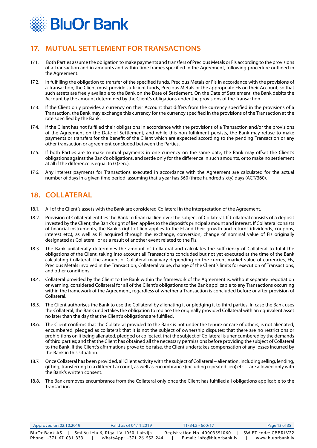<span id="page-12-0"></span>

## **17. MUTUAL SETTLEMENT FOR TRANSACTIONS**

- 17.1. Both Parties assume the obligation to make payments and transfers of Precious Metals or FIs according to the provisions of a Transaction and in amounts and within time frames specified in the Agreement, following procedure outlined in the Agreement.
- 17.2. In fulfilling the obligation to transfer of the specified funds, Precious Metals or FIs in accordance with the provisions of a Transaction, the Client must provide sufficient funds, Precious Metals or the appropriate FIs on their Account, so that such assets are freely available to the Bank on the Date of Settlement. On the Date of Settlement, the Bank debits the Account by the amount determined by the Client's obligations under the provisions of the Transaction.
- 17.3. If the Client only provides a currency on their Account that differs from the currency specified in the provisions of a Transaction, the Bank may exchange this currency for the currency specified in the provisions of the Transaction at the rate specified by the Bank.
- 17.4. If the Client has not fulfilled their obligations in accordance with the provisions of a Transaction and/or the provisions of the Agreement on the Date of Settlement, and while this non-fulfilment persists, the Bank may refuse to make payments or transfers for the benefit of the Client which are expected according to the pending Transaction or any other transaction or agreement concluded between the Parties.
- 17.5. If both Parties are to make mutual payments in one currency on the same date, the Bank may offset the Client's obligations against the Bank's obligations, and settle only for the difference in such amounts, or to make no settlement at all if the difference is equal to 0 (zero).
- 17.6. Any interest payments for Transactions executed in accordance with the Agreement are calculated for the actual number of days in a given time period, assuming that a year has 360 (three hundred sixty) days (ACT/360).

## **18. COLLATERAL**

- 18.1. All of the Client's assets with the Bank are considered Collateral in the interpretation of the Agreement.
- 18.2. Provision of Collateral entitles the Bank to financial lien over the subject of Collateral. If Collateral consists of a deposit invested by the Client, the Bank's right of lien applies to the deposit's principal amount and interest. If Collateral consists of financial instruments, the Bank's right of lien applies to the FI and their growth and returns (dividends, coupons, interest etc.), as well as FI acquired through the exchange, conversion, change of nominal value of FIs originally designated as Collateral, or as a result of another event related to the FIs.
- 18.3. The Bank unilaterally determines the amount of Collateral and calculates the sufficiency of Collateral to fulfil the obligations of the Client, taking into account all Transactions concluded but not yet executed at the time of the Bank calculating Collateral. The amount of Collateral may vary depending on the current market value of currencies, FIs, Precious Metals involved in the Transaction, Collateral value, change of the Client's limits for execution of Transactions, and other conditions.
- 18.4. Collateral provided by the Client to the Bank within the framework of the Agreement is, without separate negotiation or warning, considered Collateral for all of the Client's obligations to the Bank applicable to any Transactions occurring within the framework of the Agreement, regardless of whether a Transaction is concluded before or after provision of Collateral.
- 18.5. The Client authorises the Bank to use the Collateral by alienating it or pledging it to third parties. In case the Bank uses the Collateral, the Bank undertakes the obligation to replace the originally provided Collateral with an equivalent asset no later than the day that the Client's obligations are fulfilled.
- 18.6. The Client confirms that the Collateral provided to the Bank is not under the tenure or care of others, is not alienated, encumbered, pledged as collateral; that it is not the subject of ownership disputes; that there are no restrictions or prohibitions on it being alienated, pledged or collected, that the subject of Collateral is unencumbered by the demands of third parties; and that the Client has obtained all the necessary permissions before providing the subject of Collateral to the Bank. If the Client's affirmations prove to be false, the Client undertakes compensation of any losses incurred by the Bank in this situation.
- 18.7. Once Collateral has been provided, all Client activity with the subject of Collateral alienation, including selling, lending, gifting, transferring to a different account, as well as encumbrance (including repeated lien) etc. – are allowed only with the Bank's written consent.
- 18.8. The Bank removes encumbrance from the Collateral only once the Client has fulfilled all obligations applicable to the Transaction.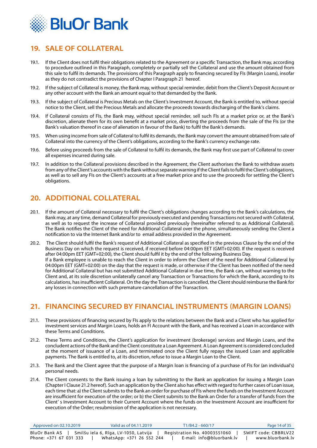<span id="page-13-0"></span>

## **19. SALE OF COLLATERAL**

- 19.1. If the Client does not fulfil their obligations related to the Agreement or a specific Transaction, the Bank may, according to procedure outlined in this Paragraph, completely or partially sell the Collateral and use the amount obtained from this sale to fulfil its demands. The provisions of this Paragraph apply to financing secured by FIs (Margin Loans), insofar as they do not contradict the provisions of Chapter I Paragraph 21 hereof.
- 19.2. If the subject of Collateral is money, the Bank may, without special reminder, debit from the Client's Deposit Account or any other account with the Bank an amount equal to that demanded by the Bank.
- 19.3. If the subject of Collateral is Precious Metals on the Client's Investment Account, the Bank is entitled to, without special notice to the Client, sell the Precious Metals and allocate the proceeds towards discharging of the Bank's claims.
- 19.4. If Collateral consists of FIs, the Bank may, without special reminder, sell such FIs at a market price or, at the Bank's discretion, alienate them for its own benefit at a market price, diverting the proceeds from the sale of the FIs (or the Bank's valuation thereof in case of alienation in favour of the Bank) to fulfil the Bank's demands.
- 19.5. When using income from sale of Collateral to fulfil its demands, the Bank may convert the amount obtained from sale of Collateral into the currency of the Client's obligations, according to the Bank's currency exchange rate.
- 19.6. Before using proceeds from the sale of Collateral to fulfil its demands, the Bank may first use part of Collateral to cover all expenses incurred during sale.
- 19.7. In addition to the Collateral provisions described in the Agreement, the Client authorises the Bank to withdraw assets from any of the Client's accounts with the Bank without separate warning if the Client fails to fulfil the Client's obligations, as well as to sell any FIs on the Client's accounts at a free market price and to use the proceeds for settling the Client's obligations.

## **20. ADDITIONAL COLLATERAL**

- 20.1. If the amount of Collateral necessary to fulfil the Client's obligations changes according to the Bank's calculations, the Bank may, at any time, demand Collateral for previously executed and pending Transactions not secured with Collateral, as well as to request the increase of Collateral provided previously (hereinafter referred to as Additional Collateral). The Bank notifies the Client of the need for Additional Collateral over the phone, simultaneously sending the Client a notification to via the Internet Bank and/or to email address provided in the Agreement.
- 20.2. The Client should fulfil the Bank's request of Additional Collateral as specified in the previous Clause by the end of the Business Day on which the request is received, if received before 04:00pm EET (GMT+02:00). If the request is received after 04:00pm EET (GMT+02:00), the Client should fulfil it by the end of the following Business Day. If a Bank employee is unable to reach the Client in order to inform the Client of the need for Additional Collateral by 04:00pm EET (GMT+02:00) on the day that the request is made, or otherwise if the Client has been notified of the need for Additional Collateral but has not submitted Additional Collateral in due time, the Bank can, without warning to the Client and, at its sole discretion unilaterally cancel any Transaction or Transactions for which the Bank, according to its calculations, has insufficient Collateral. On the day the Transaction is cancelled, the Client should reimburse the Bank for any losses in connection with such premature cancellation of the Transaction.

## **21. FINANCING SECURED BY FINANCIAL INSTRUMENTS (MARGIN LOANS)**

- 21.1. These provisions of financing secured by FIs apply to the relations between the Bank and a Client who has applied for investment services and Margin Loans, holds an FI Account with the Bank, and has received a Loan in accordance with these Terms and Conditions.
- 21.2. These Terms and Conditions, the Client's application for investment (brokerage) services and Margin Loans, and the concludent actions of the Bank and the Client constitute a Loan Agreement. A Loan Agreement is considered concluded at the moment of issuance of a Loan, and terminated once the Client fully repays the issued Loan and applicable payments. The Bank is entitled to, at its discretion, refuse to issue a Margin Loan to the Client.
- 21.3. The Bank and the Client agree that the purpose of a Margin loan is financing of a purchase of FIs for (an individual's) personal needs.
- 21.4. The Client consents to the Bank issuing a loan by submitting to the Bank an application for issuing a Margin Loan (Chapter I Clause 21.2 hereof). Such an application by the Client also has effect with regard to further cases of Loan issue, each time that: a) the Client submits to the Bank an order for purchase of FIs where the funds on the Investment Account are insufficient for execution of the order; or b) the Client submits to the Bank an Order for a transfer of funds from the Client' s Investment Account to their Current Account where the funds on the Investment Account are insufficient for execution of the Order; resubmission of the application is not necessary.

| Approved on 02.10.2019 | Valid as of 04.11.2019                | T1/B4.2 - 660/17             | Page 14 of 35        |
|------------------------|---------------------------------------|------------------------------|----------------------|
| BluOr Bank AS          | Smilšu iela 6, Rīga, LV-1050, Latvija | Registration No. 40003551060 | SWIFT code: CBBRLV22 |
| Phone: +371 67 031 333 | WhatsApp: +371 26 552 244             | E-mail: info@bluorbank.lv    | www.bluorbank.lv     |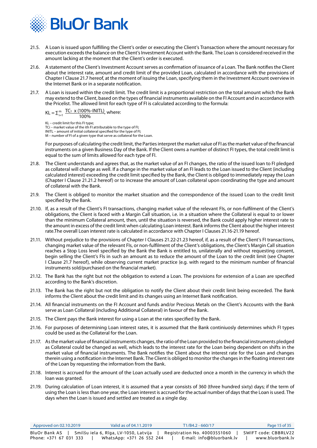

- 21.5. A Loan is issued upon fulfilling the Client's order or executing the Client's Transaction where the amount necessary for execution exceeds the balance on the Client's Investment Account with the Bank. The Loan is considered received in the amount lacking at the moment that the Client's order is executed.
- 21.6. A statement of the Client's Investment Account serves as confirmation of issuance of a Loan. The Bank notifies the Client about the interest rate, amount and credit limit of the provided Loan, calculated in accordance with the provisions of Chapter I Clause 21.7 hereof, at the moment of issuing the Loan, specifying them in the Investment Account overview in the Internet Bank or in a separate notification.
- 21.7. A Loan is issued within the credit limit. The credit limit is a proportional restriction on the total amount which the Bank may extend to the Client, based on the types of financial instruments available on the FI Account and in accordance with the Pricelist. The allowed limit for each type of FI is calculated according to the formula:

$$
KL = \sum_{i=1}^{m} \frac{TC_1 \times (100\% - INITL)}{100\%}, where:
$$

KL – credit limit for this FI type; TCi – market value of the ith FI attributable to the type of FI; INITL – amount of initial collateral specified for the type of FI; М – number of FI of a given type that serve as collateral for the Loan.

For purposes of calculating the credit limit, the Parties interpret the market value of FI as the market value of the financial instruments on a given Business Day of the Bank. If the Client owns a number of distinct FI types, the total credit limit is equal to the sum of limits allowed for each type of FI.

- 21.8. The Client understands and agrees that, as the market value of an FI changes, the ratio of the issued loan to FI pledged as collateral will change as well. If a change in the market value of an FI leads to the Loan issued to the Client (including calculated interest) exceeding the credit limit specified by the Bank, the Client is obliged to immediately repay the Loan (Chapter I Clause 21.21.2 hereof) or to increase the amount of Loan collateral upon coordinating the type and amount of collateral with the Bank.
- 21.9. The Client is obliged to monitor the market situation and the correspondence of the issued Loan to the credit limit specified by the Bank.
- 21.10. If, as a result of the Client's FI transactions, changing market value of the relevant FIs, or non-fulfilment of the Client's obligations, the Client is faced with a Margin Call situation, i.e. in a situation where the Collateral is equal to or lower than the minimum Collateral amount, then, until the situation is reversed, the Bank could apply higher interest rate to the amount in excess of the credit limit when calculating Loan interest. Bank informs the Client about the higher interest rate.The overall Loan interest rate is calculated in accordance with Chapter I Clauses 21.16-21.19 hereof.
- 21.11. Without prejudice to the provisions of Chapter I Clauses 21.22-21.23 hereof, if, as a result of the Client's FI transactions, changing market value of the relevant FIs, or non-fulfilment of the Client's obligations, the Client's Margin Call situation reaches a Stop Loss level specified by the Bank the Bank is entitled to, unilaterally and without requesting consent, begin selling the Client's FIs in such an amount as to reduce the amount of the Loan to the credit limit (see Chapter I Clause 21.7 hereof), while observing current market practice (e.g. with regard to the minimum number of financial instruments sold/purchased on the financial market).
- 21.12. The Bank has the right but not the obligation to extend a Loan. The provisions for extension of a Loan are specified according to the Bank's discretion.
- 21.13. The Bank has the right but not the obligation to notify the Client about their credit limit being exceeded. The Bank informs the Client about the credit limit and its changes using an Internet Bank notification.
- 21.14. All financial instruments on the FI Account and funds and/or Precious Metals on the Client's Accounts with the Bank serve as Loan Collateral (including Additional Collateral) in favour of the Bank.
- 21.15. The Client pays the Bank interest for using a Loan at the rates specified by the Bank.
- 21.16. For purposes of determining Loan interest rates, it is assumed that the Bank continiuosly determines which FI types could be used as the Collateral for the Loan.
- 21.17. As the market value of financial instruments changes, the ratio of the Loan provided to the financial instruments pledged as Collateral could be changed as well, which leads to the interest rate for the Loan being dependent on shifts in the market value of financial instruments. The Bank notifies the Client about the interest rate for the Loan and changes therein using a notification in the Internet Bank. The Client is obliged to monitor the changes in the floating interest rate of the Loan by requesting the information from the Bank.
- 21.18. Interest is accrued for the amount of the Loan actually used are deducted once a month in the currency in which the loan was granted.
- 21.19. During calculation of Loan interest, it is assumed that a year consists of 360 (three hundred sixty) days; if the term of using the Loan is less than one year, the Loan interest is accrued for the actual number of days that the Loan is used. The days when the Loan is issued and settled are treated as a single day.

| Approved on 02.10.2019 | Valid as of 04.11.2019                | T1/B4.2 - 660/17             | Page 15 of 35        |
|------------------------|---------------------------------------|------------------------------|----------------------|
| BluOr Bank AS          | Smilšu iela 6, Rīga, LV-1050, Latvija | Registration No. 40003551060 | SWIFT code: CBBRLV22 |
| Phone: +371 67 031 333 | WhatsApp: +371 26 552 244             | E-mail: info@bluorbank.lv    | www.bluorbank.lv     |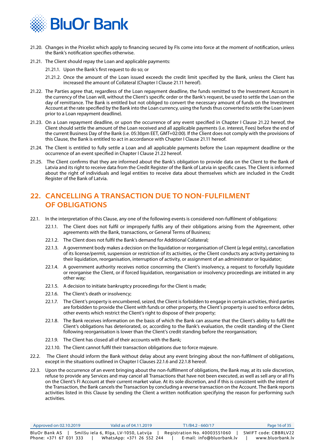<span id="page-15-0"></span>

- 21.20. Changes in the Pricelist which apply to financing secured by FIs come into force at the moment of notification, unless the Bank's notification specifies otherwise.
- 21.21. The Client should repay the Loan and applicable payments:
	- 21.21.1. Upon the Bank's first request to do so; or
	- 21.21.2. Once the amount of the Loan issued exceeds the credit limit specified by the Bank, unless the Client has increased the amount of Collateral (Chapter I Clause 21.11 hereof).
- 21.22. The Parties agree that, regardless of the Loan repayment deadline, the funds remitted to the Investment Account in the currency of the Loan will, without the Client's specific order or the Bank's request, be used to settle the Loan on the day of remittance. The Bank is entitled but not obliged to convert the necessary amount of funds on the Investment Account at the rate specified by the Bank into the Loan currency, using the funds thus converted to settle the Loan (even prior to a Loan repayment deadline).
- 21.23. On a Loan repayment deadline, or upon the occurrence of any event specified in Chapter I Clause 21.22 hereof, the Client should settle the amount of the Loan received and all applicable payments (i.e. interest, Fees) before the end of the current Business Day of the Bank (i.e. 05:30pm EET, GMT+02:00). If the Client does not comply with the provisions of this Clause, the Bank is entitled to act in accordance with Chapter I Clause 21.11 hereof.
- 21.24. The Client is entitled to fully settle a Loan and all applicable payments before the Loan repayment deadline or the occurrence of an event specified in Chapter I Clause 21.22 hereof.
- 21.25. The Client confirms that they are informed about the Bank's obligation to provide data on the Client to the Bank of Latvia and its right to receive data from the Credit Register of the Bank of Latvia in specific cases. The Client is informed about the right of individuals and legal entities to receive data about themselves which are included in the Credit Register of the Bank of Latvia.

## **22. CANCELLING A TRANSACTION DUE TO NON-FULFILMENT OF OBLIGATIONS**

- 22.1. In the interpretation of this Clause, any one of the following events is considered non-fulfilment of obligations:
	- 22.1.1. The Client does not fulfil or improperly fulfils any of their obligations arising from the Agreement, other agreements with the Bank, transactions, or General Terms of Business;
	- 22.1.2. The Client does not fulfil the Bank's demand for Additional Collateral;
	- 22.1.3. A government body makes a decision on the liquidation or reorganisation of Client (a legal entity), cancellation of its license/permit, suspension or restriction of its activities, or the Client conducts any activity pertaining to their liquidation, reorganisation, interruption of activity, or assignment of an administrator or liquidator;
	- 22.1.4. A government authority receives notice concerning the Client's insolvency, a request to forcefully liquidate or reorganise the Client, or if forced liquidation, reorganisation or insolvency proceedings are initiated in any other way;
	- 22.1.5. A decision to initiate bankruptcy proceedings for the Client is made;
	- 22.1.6. The Client's death or insolvency;
	- 22.1.7. The Client's property is encumbered, seized, the Client is forbidden to engage in certain activities, third parties are forbidden to provide the Client with funds or other property, the Client's property is used to enforce debts, other events which restrict the Client's right to dispose of their property;
	- 22.1.8. The Bank receives information on the basis of which the Bank can assume that the Client's ability to fulfil the Client's obligations has deteriorated, or, according to the Bank's evaluation, the credit standing of the Client following reorganisation is lower than the Client's credit standing before the reorganisation;
	- 22.1.9. The Client has closed all of their accounts with the Bank;
	- 22.1.10. The Client cannot fulfil their transaction obligations due to force majeure.
- 22.2. The Client should inform the Bank without delay about any event bringing about the non-fulfilment of obligations, except in the situations outlined in Chapter I Clauses 22.1.6 and 22.1.8 hereof.
- 22.3. Upon the occurrence of an event bringing about the non-fulfilment of obligations, the Bank may, at its sole discretion, refuse to provide any Services and may cancel all Transactions that have not been executed, as well as sell any or all FIs on the Client's FI Account at their current market value. At its sole discretion, and if this is consistent with the intent of the Transaction, the Bank cancels the Transaction by concluding a reverse transaction on the Account. The Bank reports activities listed in this Clause by sending the Client a written notification specifying the reason for performing such activities.

| Approved on 02.10.2019 | Valid as of 04.11.2019                | T1/B4.2 - 660/17             | Page 16 of 35        |
|------------------------|---------------------------------------|------------------------------|----------------------|
| BluOr Bank AS          | Smilšu iela 6, Rīga, LV-1050, Latvija | Registration No. 40003551060 | SWIFT code: CBBRLV22 |
| Phone: +371 67 031 333 | WhatsApp: +371 26 552 244             | E-mail: info@bluorbank.lv    | www.bluorbank.lv     |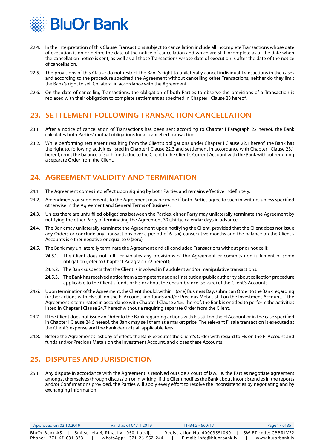<span id="page-16-0"></span>

- 22.4. In the interpretation of this Clause, Transactions subject to cancellation include all incomplete Transactions whose date of execution is on or before the date of the notice of cancellation and which are still incomplete as at the date when the cancellation notice is sent, as well as all those Transactions whose date of execution is after the date of the notice of cancellation.
- 22.5. The provisions of this Clause do not restrict the Bank's right to unilaterally cancel individual Transactions in the cases and according to the procedure specified the Agreement without cancelling other Transactions; neither do they limit the Bank's right to sell Collateral in accordance with the Agreement.
- 22.6. On the date of cancelling Transactions, the obligation of both Parties to observe the provisions of a Transaction is replaced with their obligation to complete settlement as specified in Chapter I Clause 23 hereof.

## **23. SETTLEMENT FOLLOWING TRANSACTION CANCELLATION**

- 23.1. After a notice of cancellation of Transactions has been sent according to Chapter I Paragraph 22 hereof, the Bank calculates both Parties' mutual obligations for all cancelled Transactions.
- 23.2. While performing settlement resulting from the Client's obligations under Chapter I Clause 22.1 hereof, the Bank has the right to, following activities listed in Chapter I Clause 22.3 and settlement in accordance with Chapter I Clause 23.1 hereof, remit the balance of such funds due to the Client to the Client's Current Account with the Bank without requiring a separate Order from the Client.

## **24. AGREEMENT VALIDITY AND TERMINATION**

- 24.1. The Agreement comes into effect upon signing by both Parties and remains effective indefinitely.
- 24.2. Amendments or supplements to the Agreement may be made if both Parties agree to such in writing, unless specified otherwise in the Agreement and General Terms of Business.
- 24.3. Unless there are unfulfilled obligations between the Parties, either Party may unilaterally terminate the Agreement by notifying the other Party of terminating the Agreement 30 (thirty) calendar days in advance.
- 24.4. The Bank may unilaterally terminate the Agreement upon notifying the Client, provided that the Client does not issue any Orders or conclude any Transactions over a period of 6 (six) consecutive months and the balance on the Client's Accounts is either negative or equal to 0 (zero).
- 24.5. The Bank may unilaterally terminate the Agreement and all concluded Transactions without prior notice if:
	- 24.5.1. The Client does not fulfil or violates any provisions of the Agreement or commits non-fulfilment of some obligation (refer to Chapter I Paragraph 22 hereof);
	- 24.5.2. The Bank suspects that the Client is involved in fraudulent and/or manipulative transactions;
	- 24.5.3. The Bank has received notice from a competent national institution/public authority about collection procedure applicable to the Client's funds or FIs or about the encumbrance (seizure) of the Client's Accounts.
- 24.6. Upon termination of the Agreement, the Client should, within 1 (one) Business Day, submit an Order to the Bank regarding further actions with FIs still on the FI Account and funds and/or Precious Metals still on the Investment Account. If the Agreement is terminated in accordance with Chapter I Clause 24.5.1 hereof, the Bank is entitled to perform the activities listed in Chapter I Clause 24.7 hereof without a requiring separate Order from the Client.
- 24.7. If the Client does not issue an Order to the Bank regarding actions with FIs still on the FI Account or in the case specified in Chapter I Clause 24.6 hereof, the Bank may sell them at a market price. The relevant FI sale transaction is executed at the Client's expense and the Bank deducts all applicable fees.
- 24.8. Before the Agreement's last day of effect, the Bank executes the Client's Order with regard to FIs on the FI Account and funds and/or Precious Metals on the Investment Account, and closes these Accounts.

## **25. DISPUTES AND JURISDICTION**

25.1. Any dispute in accordance with the Agreement is resolved outside a court of law, i.e. the Parties negotiate agreement amongst themselves through discussion or in writing. If the Client notifies the Bank about inconsistencies in the reports and/or Confirmations provided, the Parties will apply every effort to resolve the inconsistencies by negotiating and by exchanging information.

| $\Delta$ Approved on 02.10.2019 | Valid as of 04.11.2019                | T1/B4.2 - 660/17             | Page 17 of 35        |
|---------------------------------|---------------------------------------|------------------------------|----------------------|
| BluOr Bank AS                   | Smilšu iela 6, Rīga, LV-1050, Latvija | Registration No. 40003551060 | SWIFT code: CBBRLV22 |
| Phone: +371 67 031 333          | WhatsApp: +371 26 552 244             | E-mail: info@bluorbank.lv    | www.bluorbank.lv     |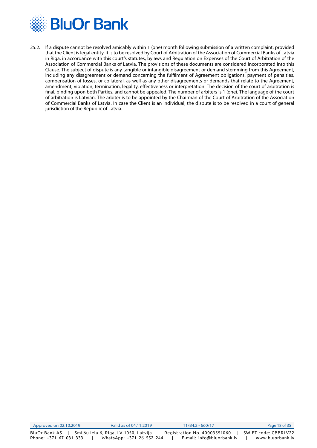

25.2. If a dispute cannot be resolved amicably within 1 (one) month following submission of a written complaint, provided that the Client is legal entity, it is to be resolved by Court of Arbitration of the Association of Commercial Banks of Latvia in Riga, in accordance with this court's statutes, bylaws and Regulation on Expenses of the Court of Arbitration of the Association of Commercial Banks of Latvia. The provisions of these documents are considered incorporated into this Clause. The subject of dispute is any tangible or intangible disagreement or demand stemming from this Agreement, including any disagreement or demand concerning the fulfilment of Agreement obligations, payment of penalties, compensation of losses, or collateral, as well as any other disagreements or demands that relate to the Agreement, amendment, violation, termination, legality, effectiveness or interpretation. The decision of the court of arbitration is final, binding upon both Parties, and cannot be appealed. The number of arbiters is 1 (one). The language of the court of arbitration is Latvian. The arbiter is to be appointed by the Chairman of the Court of Arbitration of the Association of Commercial Banks of Latvia. In case the Client is an individual, the dispute is to be resolved in a court of general jurisdiction of the Republic of Latvia.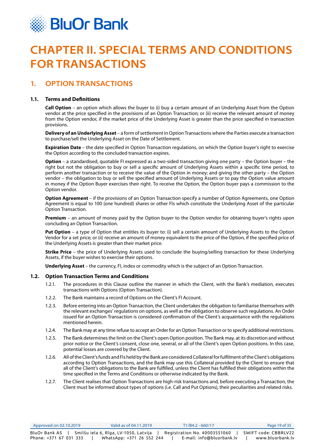<span id="page-18-0"></span>

# **CHAPTER II. SPECIAL TERMS AND CONDITIONS FOR TRANSACTIONS**

## **1. OPTION TRANSACTIONS**

#### **1.1. Terms and Definitions**

**Call Option** – an option which allows the buyer to (i) buy a certain amount of an Underlying Asset from the Option vendor at the price specified in the provisions of an Option Transaction; or (ii) receive the relevant amount of money from the Option vendor, if the market price of the Underlying Asset is greater than the price specified in transaction provisions.

**Delivery of an Underlying Asset** – a form of settlement in Option Transactions where the Parties execute a transaction to purchase/sell the Underlying Asset on the Date of Settlement.

**Expiration Date** – the date specified in Option Transaction regulations, on which the Option buyer's right to exercise the Option according to the concluded transaction expires.

**Option** – a standardised, quotable FI expressed as a two-sided transaction giving one party – the Option buyer – the right but not the obligation to buy or sell a specific amount of Underlying Assets within a specific time period, to perform another transaction or to receive the value of the Option in money; and giving the other party – the Option vendor – the obligation to buy or sell the specified amount of Underlying Assets or to pay the Option value amount in money if the Option Buyer exercises their right. To receive the Option, the Option buyer pays a commission to the Option vendor.

**Option Agreement** – if the provisions of an Option Transaction specify a number of Option Agreements, one Option Agreement is equal to 100 (one hundred) shares or other FIs which constitute the Underlying Asset of the particular Option Transaction.

**Premium** – an amount of money paid by the Option buyer to the Option vendor for obtaining buyer's rights upon concluding an Option Transaction.

**Put Option** – a type of Option that entitles its buyer to: (i) sell a certain amount of Underlying Assets to the Option Vendor for a set price; or (ii) receive an amount of money equivalent to the price of the Option, if the specified price of the Underlying Assets is greater than their market price.

**Strike Price** – the price of Underlying Assets used to conclude the buying/selling transaction for these Underlying Assets, if the buyer wishes to exercise their options.

**Underlying Asset** – the currency, FI, index or commodity which is the subject of an Option Transaction.

#### **1.2. Option Transaction Terms and Conditions**

- 1.2.1. The procedures in this Clause outline the manner in which the Client, with the Bank's mediation, executes transactions with Options (Option Transaction).
- 1.2.2. The Bank maintains a record of Options on the Client's FI Account.
- 1.2.3. Before entering into an Option Transaction, the Client undertakes the obligation to familiarise themselves with the relevant exchanges' regulations on options, as well as the obligation to observe such regulations. An Order issued for an Option Transaction is considered confirmation of the Client's acquaintance with the regulations mentioned herein.
- 1.2.4. The Bank may at any time refuse to accept an Order for an Option Transaction or to specify additional restrictions.
- 1.2.5. The Bank determines the limit on the Client's open Option position. The Bank may, at its discretion and without prior notice or the Client's consent, close one, several, or all of the Client's open Option positions. In this case, potential losses are covered by the Client.
- 1.2.6. All of the Client's funds and FIs held by the Bank are considered Collateral for fulfilment of the Client's obligations according to Option Transactions, and the Bank may use this Collateral provided by the Client to ensure that all of the Client's obligations to the Bank are fulfilled, unless the Client has fulfilled their obligations within the time specified in the Terms and Conditions or otherwise indicated by the Bank.
- 1.2.7. The Client realises that Option Transactions are high-risk transactions and, before executing a Transaction, the Client must be informed about types of options (i.e. Call and Put Options), their peculiarities and related risks.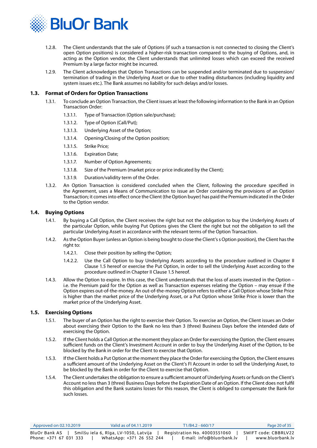

- 1.2.8. The Client understands that the sale of Options (if such a transaction is not connected to closing the Client's open Option positions) is considered a higher-risk transaction compared to the buying of Options, and, in acting as the Option vendor, the Client understands that unlimited losses which can exceed the received Premium by a large factor might be incurred.
- 1.2.9. The Client acknowledges that Option Transactions can be suspended and/or terminated due to suspension/ termination of trading in the Underlying Asset or due to other trading disturbances (including liquidity and system issues etc.). The Bank assumes no liability for such delays and/or losses.

#### **1.3. Format of Orders for Option Transactions**

- 1.3.1. To conclude an Option Transaction, the Client issues at least the following information to the Bank in an Option Transaction Order:
	- 1.3.1.1. Type of Transaction (Option sale/purchase);
	- 1.3.1.2. Type of Option (Call/Put);
	- 1.3.1.3. Underlying Asset of the Option;
	- 1.3.1.4. Opening/Closing of the Option position;
	- 1.3.1.5. Strike Price;
	- 1.3.1.6. Expiration Date;
	- 1.3.1.7. Number of Option Agreements;
	- 1.3.1.8. Size of the Premium (market price or price indicated by the Client);
	- 1.3.1.9. Duration/validity term of the Order.
- 1.3.2. An Option Transaction is considered concluded when the Client, following the procedure specified in the Agreement, uses a Means of Communication to issue an Order containing the provisions of an Option Transaction; it comes into effect once the Client (the Option buyer) has paid the Premium indicated in the Order to the Option vendor.

#### **1.4. Buying Options**

- 1.4.1. By buying a Call Option, the Client receives the right but not the obligation to buy the Underlying Assets of the particular Option, while buying Put Options gives the Client the right but not the obligation to sell the particular Underlying Asset in accordance with the relevant terms of the Option Transaction.
- 1.4.2. As the Option Buyer (unless an Option is being bought to close the Client's s Option position), the Client has the right to:
	- 1.4.2.1. Close their position by selling the Option;
	- 1.4.2.2. Use the Call Option to buy Underlying Assets according to the procedure outlined in Chapter II Clause 1.5 hereof or exercise the Put Option, in order to sell the Underlying Asset according to the procedure outlined in Chapter II Clause 1.5 hereof.
- 1.4.3. Allow the Option to expire. In this case, the Client understands that the loss of assets invested in the Option i.e. the Premium paid for the Option as well as Transaction expenses relating the Option – may ensue if the Option expires out-of-the-money. An out-of-the-money Option refers to either a Call Option whose Strike Price is higher than the market price of the Underlying Asset, or a Put Option whose Strike Price is lower than the market price of the Underlying Asset.

#### **1.5. Exercising Options**

- 1.5.1. The buyer of an Option has the right to exercise their Option. To exercise an Option, the Client issues an Order about exercising their Option to the Bank no less than 3 (three) Business Days before the intended date of exercising the Option.
- 1.5.2. If the Client holds a Call Option at the moment they place an Order for exercising the Option, the Client ensures sufficient funds on the Client's Investment Account in order to buy the Underlying Asset of the Option, to be blocked by the Bank in order for the Client to exercise that Option.
- 1.5.3. If the Client holds a Put Option at the moment they place the Order for exercising the Option, the Client ensures a sufficient amount of the Underlying Asset on the Client's FI Account in order to sell the Underlying Asset, to be blocked by the Bank in order for the Client to exercise that Option.
- 1.5.4. The Client undertakes the obligation to ensure a sufficient amount of Underlying Assets or funds on the Client's Account no less than 3 (three) Business Days before the Expiration Date of an Option. If the Client does not fulfil this obligation and the Bank sustains losses for this reason, the Client is obliged to compensate the Bank for such losses.

| $\Delta$ Approved on 02.10.2019 | Valid as of 04.11.2019                | T1/B4.2 - 660/17             | Page 20 of 35        |
|---------------------------------|---------------------------------------|------------------------------|----------------------|
| BluOr Bank AS                   | Smilšu iela 6, Rīga, LV-1050, Latvija | Registration No. 40003551060 | SWIFT code: CBBRLV22 |
| Phone: +371 67 031 333          | WhatsApp: +371 26 552 244             | E-mail: info@bluorbank.lv    | www.bluorbank.lv     |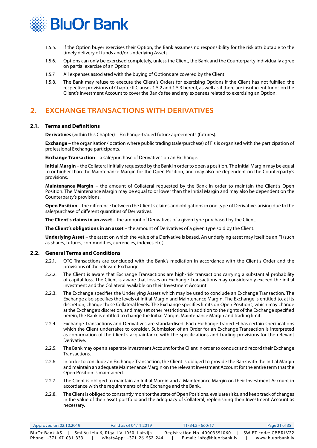<span id="page-20-0"></span>

- 1.5.5. If the Option buyer exercises their Option, the Bank assumes no responsibility for the risk attributable to the timely delivery of funds and/or Underlying Assets.
- 1.5.6. Options can only be exercised completely, unless the Client, the Bank and the Counterparty individually agree on partial exercise of an Option.
- 1.5.7. All expenses associated with the buying of Options are covered by the Client.
- 1.5.8. The Bank may refuse to execute the Client's Orders for exercising Options if the Client has not fulfilled the respective provisions of Chapter II Clauses 1.5.2 and 1.5.3 hereof, as well as if there are insufficient funds on the Client's Investment Account to cover the Bank's fee and any expenses related to exercising an Option.

## **2. EXCHANGE TRANSACTIONS WITH DERIVATIVES**

#### **2.1. Terms and Definitions**

**Derivatives** (within this Chapter) – Exchange-traded future agreements (futures).

**Exchange** – the organisation/location where public trading (sale/purchase) of FIs is organised with the participation of professional Exchange participants.

**Exchange Transaction** – a sale/purchase of Derivatives on an Exchange.

**Initial Margin** – the Collateral initially requested by the Bank in order to open a position. The Initial Margin may be equal to or higher than the Maintenance Margin for the Open Position, and may also be dependent on the Counterparty's provisions.

**Maintenance Margin** – the amount of Collateral requested by the Bank in order to maintain the Client's Open Position. The Maintenance Margin may be equal to or lower than the Initial Margin and may also be dependent on the Counterparty's provisions.

**Open Position** – the difference between the Client's claims and obligations in one type of Derivative, arising due to the sale/purchase of different quantities of Derivatives.

**The Client's claims in an asset** – the amount of Derivatives of a given type purchased by the Client.

**The Client's obligations in an asset** – the amount of Derivatives of a given type sold by the Client.

**Underlying Asset** – the asset on which the value of a Derivative is based. An underlying asset may itself be an FI (such as shares, futures, commodities, currencies, indexes etc.).

#### **2.2. General Terms and Conditions**

- 2.2.1. OTC Transactions are concluded with the Bank's mediation in accordance with the Client's Order and the provisions of the relevant Exchange.
- 2.2.2. The Client is aware that Exchange Transactions are high-risk transactions carrying a substantial probability of capital loss. The Client is aware that losses on Exchange Transactions may considerably exceed the initial investment and the Collateral available on their Investment Account.
- 2.2.3. The Exchange specifies the Underlying Assets which may be used to conclude an Exchange Transaction. The Exchange also specifies the levels of Initial Margin and Maintenance Margin. The Exchange is entitled to, at its discretion, change these Collateral levels. The Exchange specifies limits on Open Positions, which may change at the Exchange's discretion, and may set other restrictions. In addition to the rights of the Exchange specified herein, the Bank is entitled to change the Initial Margin, Maintenance Margin and trading limit.
- 2.2.4. Exchange Transactions and Derivatives are standardised. Each Exchange-traded FI has certain specifications which the Client undertakes to consider. Submission of an Order for an Exchange Transaction is interpreted as confirmation of the Client's acquaintance with the specifications and trading provisions for the relevant Derivative.
- 2.2.5. The Bank may open a separate Investment Account for the Client in order to conduct and record their Exchange Transactions.
- 2.2.6. In order to conclude an Exchange Transaction, the Client is obliged to provide the Bank with the Initial Margin and maintain an adequate Maintenance Margin on the relevant Investment Account for the entire term that the Open Position is maintained.
- 2.2.7. The Client is obliged to maintain an Initial Margin and a Maintenance Margin on their Investment Account in accordance with the requirements of the Exchange and the Bank.
- 2.2.8. The Client is obliged to constantly monitor the state of Open Positions, evaluate risks, and keep track of changes in the value of their asset portfolio and the adequacy of Collateral, replenishing their Investment Account as necessary.

| Approved on 02.10.2019 | Valid as of 04.11.2019                | T1/B4.2 - 660/17             | Page 21 of 35        |
|------------------------|---------------------------------------|------------------------------|----------------------|
| BluOr Bank AS          | Smilšu iela 6, Rīga, LV-1050, Latvija | Registration No. 40003551060 | SWIFT code: CBBRLV22 |
| Phone: +371 67 031 333 | WhatsApp: +371 26 552 244             | E-mail: info@bluorbank.lv    | www.bluorbank.lv     |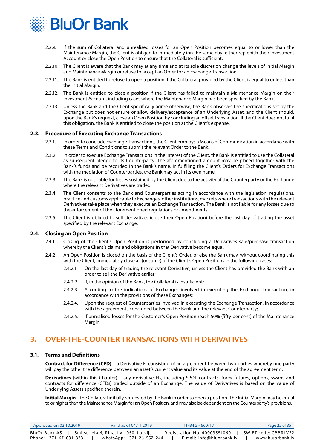<span id="page-21-0"></span>

- 2.2.9. If the sum of Collateral and unrealised losses for an Open Position becomes equal to or lower than the Maintenance Margin, the Client is obliged to immediately (on the same day) either replenish their Investment Account or close the Open Position to ensure that the Collateral is sufficient.
- 2.2.10. The Client is aware that the Bank may at any time and at its sole discretion change the levels of Initial Margin and Maintenance Margin or refuse to accept an Order for an Exchange Transaction.
- 2.2.11. The Bank is entitled to refuse to open a position if the Collateral provided by the Client is equal to or less than the Initial Margin.
- 2.2.12. The Bank is entitled to close a position if the Client has failed to maintain a Maintenance Margin on their Investment Account, including cases where the Maintenance Margin has been specified by the Bank.
- 2.2.13. Unless the Bank and the Client specifically agree otherwise, the Bank observes the specifications set by the Exchange but does not ensure or allow delivery/acceptance of an Underlying Asset, and the Client should, upon the Bank's request, close an Open Position by concluding an offset transaction. If the Client does not fulfil this obligation, the Bank is entitled to close the position at the Client's expense.

#### **2.3. Procedure of Executing Exchange Transactions**

- 2.3.1. In order to conclude Exchange Transactions, the Client employs a Means of Communication in accordance with these Terms and Conditions to submit the relevant Order to the Bank.
- 2.3.2. In order to execute Exchange Transactions in the interest of the Client, the Bank is entitled to use the Collateral as subsequent pledge to its Counterparty. The aforementioned amount may be placed together with the Bank's funds and be recorded in the Bank's name. In fulfilling the Client's Orders for Exchange Transactions with the mediation of Counterparties, the Bank may act in its own name.
- 2.3.3. The Bank is not liable for losses sustained by the Client due to the activity of the Counterparty or the Exchange where the relevant Derivatives are traded.
- 2.3.4. The Client consents to the Bank and Counterparties acting in accordance with the legislation, regulations, practice and customs applicable to Exchanges, other institutions, markets where transactions with the relevant Derivatives take place when they execute an Exchange Transaction. The Bank is not liable for any losses due to the enforcement of the aforementioned regulations or amendments.
- 2.3.5. The Client is obliged to sell Derivatives (close their Open Position) before the last day of trading the asset specified by the relevant Exchange.

#### **2.4. Closing an Open Position**

- 2.4.1. Closing of the Client's Open Position is performed by concluding a Derivatives sale/purchase transaction whereby the Client's claims and obligations in that Derivative become equal.
- 2.4.2. An Open Position is closed on the basis of the Client's Order, or else the Bank may, without coordinating this with the Client, immediately close all (or some) of the Client's Open Positions in the following cases:
	- 2.4.2.1. On the last day of trading the relevant Derivative, unless the Client has provided the Bank with an order to sell the Derivative earlier;
	- 2.4.2.2. If, in the opinion of the Bank, the Collateral is insufficient;
	- 2.4.2.3. According to the indications of Exchanges involved in executing the Exchange Transaction, in accordance with the provisions of these Exchanges;
	- 2.4.2.4. Upon the request of Counterparties involved in executing the Exchange Transaction, in accordance with the agreements concluded between the Bank and the relevant Counterparty;
	- 2.4.2.5. If unrealised losses for the Customer's Open Position reach 50% (fifty per cent) of the Maintenance Margin.

## **3. OVER-THE-COUNTER TRANSACTIONS WITH DERIVATIVES**

#### **3.1. Terms and Definitions**

**Contract for Difference (CFD)** – a Derivative FI consisting of an agreement between two parties whereby one party will pay the other the difference between an asset's current value and its value at the end of the agreement term.

**Derivatives** (within this Chapter) – any derivative FIs, including SPOT contracts, forex futures, options, swaps and contracts for difference (CFDs) traded outside of an Exchange. The value of Derivatives is based on the value of Underlying Assets specified therein.

**Initial Margin** – the Collateral initially requested by the Bank in order to open a position. The Initial Margin may be equal to or higher than the Maintenance Margin for an Open Position, and may also be dependent on the Counterparty's provisions.

| Approved on 02.10.2019 | Valid as of 04.11.2019                  | T1/B4.2 - 660/17             | Page 22 of 35        |
|------------------------|-----------------------------------------|------------------------------|----------------------|
| <b>BluOr Bank AS</b>   | ' Smilšu iela 6, Rīga, LV-1050, Latvija | Registration No. 40003551060 | SWIFT code: CBBRLV22 |
| Phone: +371 67 031 333 | WhatsApp: +371 26 552 244               | E-mail: info@bluorbank.lv    | www.bluorbank.lv     |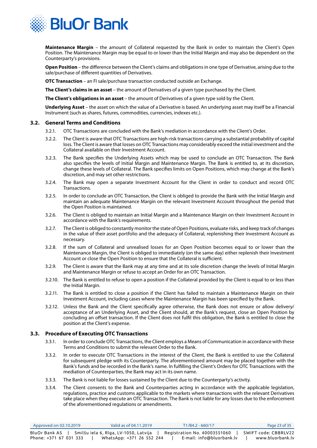

**Maintenance Margin** – the amount of Collateral requested by the Bank in order to maintain the Client's Open Position. The Maintenance Margin may be equal to or lower than the Initial Margin and may also be dependent on the Counterparty's provisions.

**Open Position** – the difference between the Client's claims and obligations in one type of Derivative, arising due to the sale/purchase of different quantities of Derivatives.

**OTC Transaction** – an FI sale/purchase transaction conducted outside an Exchange.

**The Client's claims in an asset** – the amount of Derivatives of a given type purchased by the Client.

**The Client's obligations in an asset** – the amount of Derivatives of a given type sold by the Client.

**Underlying Asset** – the asset on which the value of a Derivative is based. An underlying asset may itself be a Financial Instrument (such as shares, futures, commodities, currencies, indexes etc.).

#### **3.2. General Terms and Conditions**

- 3.2.1. OTC Transactions are concluded with the Bank's mediation in accordance with the Client's Order.
- 3.2.2. The Client is aware that OTC Transactions are high-risk transactions carrying a substantial probability of capital loss. The Client is aware that losses on OTC Transactions may considerably exceed the initial investment and the Collateral available on their Investment Account.
- 3.2.3. The Bank specifies the Underlying Assets which may be used to conclude an OTC Transaction. The Bank also specifies the levels of Initial Margin and Maintenance Margin. The Bank is entitled to, at its discretion, change these levels of Collateral. The Bank specifies limits on Open Positions, which may change at the Bank's discretion, and may set other restrictions.
- 3.2.4. The Bank may open a separate Investment Account for the Client in order to conduct and record OTC Transactions.
- 3.2.5. In order to conclude an OTC Transaction, the Client is obliged to provide the Bank with the Initial Margin and maintain an adequate Maintenance Margin on the relevant Investment Account throughout the period that the Open Position is maintained.
- 3.2.6. The Client is obliged to maintain an Initial Margin and a Maintenance Margin on their Investment Account in accordance with the Bank's requirements.
- 3.2.7. The Client is obliged to constantly monitor the state of Open Positions, evaluate risks, and keep track of changes in the value of their asset portfolio and the adequacy of Collateral, replenishing their Investment Account as necessary.
- 3.2.8. If the sum of Collateral and unrealised losses for an Open Position becomes equal to or lower than the Maintenance Margin, the Client is obliged to immediately (on the same day) either replenish their Investment Account or close the Open Position to ensure that the Collateral is sufficient.
- 3.2.9. The Client is aware that the Bank may at any time and at its sole discretion change the levels of Initial Margin and Maintenance Margin or refuse to accept an Order for an OTC Transaction.
- 3.2.10. The Bank is entitled to refuse to open a position if the Collateral provided by the Client is equal to or less than the Initial Margin.
- 3.2.11. The Bank is entitled to close a position if the Client has failed to maintain a Maintenance Margin on their Investment Account, including cases where the Maintenance Margin has been specified by the Bank.
- 3.2.12. Unless the Bank and the Client specifically agree otherwise, the Bank does not ensure or allow delivery/ acceptance of an Underlying Asset, and the Client should, at the Bank's request, close an Open Position by concluding an offset transaction. If the Client does not fulfil this obligation, the Bank is entitled to close the position at the Client's expense.

#### **3.3. Procedure of Executing OTC Transactions**

- 3.3.1. In order to conclude OTC Transactions, the Client employs a Means of Communication in accordance with these Terms and Conditions to submit the relevant Order to the Bank.
- 3.3.2. In order to execute OTC Transactions in the interest of the Client, the Bank is entitled to use the Collateral for subsequent pledge with its Counterparty. The aforementioned amount may be placed together with the Bank's funds and be recorded in the Bank's name. In fulfilling the Client's Orders for OTC Transactions with the mediation of Counterparties, the Bank may act in its own name.
- 3.3.3. The Bank is not liable for losses sustained by the Client due to the Counterparty's activity.
- 3.3.4. The Client consents to the Bank and Counterparties acting in accordance with the applicable legislation, regulations, practice and customs applicable to the markets where transactions with the relevant Derivatives take place when they execute an OTC Transaction. The Bank is not liable for any losses due to the enforcement of the aforementioned regulations or amendments.

| Approved on 02.10.2019 | Valid as of 04.11.2019                | $T1/B4.2 - 660/17$           | Page 23 of 35        |
|------------------------|---------------------------------------|------------------------------|----------------------|
| BluOr Bank AS          | Smilšu iela 6, Rīga, LV-1050, Latvija | Registration No. 40003551060 | SWIFT code: CBBRLV22 |
| Phone: +371 67 031 333 | WhatsApp: +371 26 552 244             | E-mail: info@bluorbank.lv    | www.bluorbank.lv     |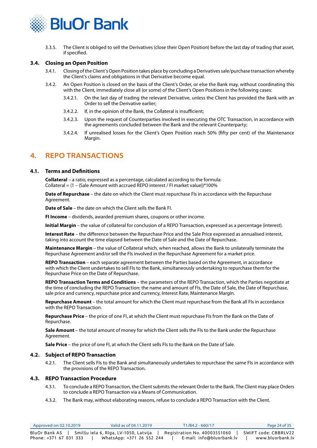<span id="page-23-0"></span>

3.3.5. The Client is obliged to sell the Derivatives (close their Open Position) before the last day of trading that asset, if specified.

#### **3.4. Closing an Open Position**

- 3.4.1. Closing of the Client's Open Position takes place by concluding a Derivatives sale/purchase transaction whereby the Client's claims and obligations in that Derivative become equal.
- 3.4.2. An Open Position is closed on the basis of the Client's Order, or else the Bank may, without coordinating this with the Client, immediately close all (or some) of the Client's Open Positions in the following cases:
	- 3.4.2.1. On the last day of trading the relevant Derivative, unless the Client has provided the Bank with an Order to sell the Derivative earlier;
	- 3.4.2.2. If, in the opinion of the Bank, the Collateral is insufficient;
	- 3.4.2.3. Upon the request of Counterparties involved in executing the OTC Transaction, in accordance with the agreements concluded between the Bank and the relevant Counterparty;
	- 3.4.2.4. If unrealised losses for the Client's Open Position reach 50% (fifty per cent) of the Maintenance Margin.

## **4. REPO TRANSACTIONS**

#### **4.1. Terms and Definitions**

**Collateral** – a ratio, expressed as a percentage, calculated according to the formula: Collateral =  $(1 - (Sale Amount with accrued REPO interest / FI market value))*100%$ 

**Date of Repurchase** – the date on which the Client must repurchase FIs in accordance with the Repurchase Agreement.

**Date of Sale** – the date on which the Client sells the Bank FI.

**FI Income** – dividends, awarded premium shares, coupons or other income.

**Initial Margin** – the value of collateral for conclusion of a REPO Transaction, expressed as a percentage (interest).

**Interest Rate** – the difference between the Repurchase Price and the Sale Price expressed as annualised interest, taking into account the time elapsed between the Date of Sale and the Date of Repurchase.

**Maintenance Margin** – the value of Collateral which, when reached, allows the Bank to unilaterally terminate the Repurchase Agreement and/or sell the FIs involved in the Repurchase Agreement for a market price.

**REPO Transaction** – each separate agreement between the Parties based on the Agreement, in accordance with which the Client undertakes to sell FIs to the Bank, simultaneously undertaking to repurchase them for the Repurchase Price on the Date of Repurchase.

**REPO Transaction Terms and Conditions** – the parameters of the REPO Transaction, which the Parties negotiate at the time of concluding the REPO Transaction: the name and amount of FIs, the Date of Sale, the Date of Repurchase, sale price and currency, repurchase price and currency, Interest Rate, Maintenance Margin.

**Repurchase Amount** – the total amount for which the Client must repurchase from the Bank all FIs in accordance with the REPO Transaction.

**Repurchase Price** – the price of one FI, at which the Client must repurchase FIs from the Bank on the Date of Repurchase.

**Sale Amount** – the total amount of money for which the Client sells the FIs to the Bank under the Repurchase Agreement.

**Sale Price** – the price of one FI, at which the Client sells FIs to the Bank on the Date of Sale.

#### **4.2. Subject of REPO Transaction**

4.2.1. The Client sells FIs to the Bank and simultaneously undertakes to repurchase the same FIs in accordance with the provisions of the REPO Transaction.

#### **4.3. REPO Transaction Procedure**

- 4.3.1. To conclude a REPO Transaction, the Client submits the relevant Order to the Bank. The Client may place Orders to conclude a REPO Transaction via a Means of Communication.
- 4.3.2. The Bank may, without elaborating reasons, refuse to conclude a REPO Transaction with the Client.

| Approved on 02.10.2019 | Valid as of 04.11.2019                                                             | $T1/B4.2 - 660/17$                                        | Page 24 of 35                            |
|------------------------|------------------------------------------------------------------------------------|-----------------------------------------------------------|------------------------------------------|
| Phone: +371 67 031 333 | BluOr Bank AS   Smilšu iela 6, Rīga, LV-1050, Latvija<br>WhatsApp: +371 26 552 244 | Registration No. 40003551060<br>E-mail: info@bluorbank.lv | SWIFT code: CBBRLV22<br>www.bluorbank.lv |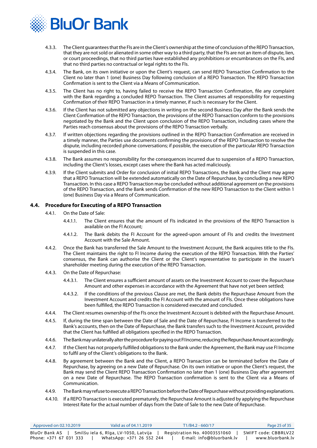

- 4.3.3. The Client guarantees that the FIs are in the Client's ownership at the time of conclusion of the REPO Transaction, that they are not sold or alienated in some other way to a third party, that the FIs are not an item of dispute, lien, or court proceedings, that no third parties have established any prohibitions or encumbrances on the FIs, and that no third parties no contractual or legal rights to the FIs.
- 4.3.4. The Bank, on its own initiative or upon the Client's request, can send REPO Transaction Confirmation to the Client no later than 1 (one) Business Day following conclusion of a REPO Transaction. The REPO Transaction Confirmation is sent to the Client via a Means of Communication.
- 4.3.5. The Client has no right to, having failed to receive the REPO Transaction Confirmation, file any complaint with the Bank regarding a concluded REPO Transaction. The Client assumes all responsibility for requesting Confirmation of their REPO Transaction in a timely manner, if such is necessary for the Client.
- 4.3.6. If the Client has not submitted any objections in writing on the second Business Day after the Bank sends the Client Confirmation of the REPO Transaction, the provisions of the REPO Transaction conform to the provisions negotiated by the Bank and the Client upon conclusion of the REPO Transaction, including cases where the Parties reach consensus about the provisions of the REPO Transaction verbally.
- 4.3.7. If written objections regarding the provisions outlined in the REPO Transaction Confirmation are received in a timely manner, the Parties use documents confirming the provisions of the REPO Transaction to resolve the dispute, including recorded phone conversations; if possible, the execution of the particular REPO Transaction is suspended in this case.
- 4.3.8. The Bank assumes no responsibility for the consequences incurred due to suspension of a REPO Transaction, including the Client's losses, except cases where the Bank has acted maliciously.
- 4.3.9. If the Client submits and Order for conclusion of initial REPO Transactions, the Bank and the Client may agree that a REPO Transaction will be extended automatically on the Date of Repurchase, by concluding a new REPO Transaction. In this case a REPO Transaction may be concluded without additional agreement on the provisions of the REPO Transaction, and the Bank sends Confirmation of the new REPO Transaction to the Client within 1 (one) Business Day via a Means of Communication.

#### **4.4. Procedure for Executing of a REPO Transaction**

- 4.4.1. On the Date of Sale:
	- 4.4.1.1. The Client ensures that the amount of FIs indicated in the provisions of the REPO Transaction is available on the FI Account;
	- 4.4.1.2. The Bank debits the FI Account for the agreed-upon amount of FIs and credits the Investment Account with the Sale Amount.
- 4.4.2. Once the Bank has transferred the Sale Amount to the Investment Account, the Bank acquires title to the FIs. The Client maintains the right to FI Income during the execution of the REPO Transaction. With the Parties' consensus, the Bank can authorise the Client or the Client's representative to participate in the issuer's shareholder meeting during the execution of the REPO Transaction.
- 4.4.3. On the Date of Repurchase:
	- 4.4.3.1. The Client ensures a sufficient amount of assets on the Investment Account to cover the Repurchase Amount and other expenses in accordance with the Agreement that have not yet been settled;
	- 4.4.3.2. If the conditions of the previous Clause are met, the Bank debits the Repurchase Amount from the Investment Account and credits the FI Account with the amount of FIs. Once these obligations have been fulfilled, the REPO Transaction is considered executed and concluded.
- 4.4.4. The Client resumes ownership of the FIs once the Investment Account is debited with the Repurchase Amount.
- 4.4.5. If, during the time span between the Date of Sale and the Date of Repurchase, FI Income is transferred to the Bank's accounts, then on the Date of Repurchase, the Bank transfers such to the Investment Account, provided that the Client has fulfilled all obligations specified in the REPO Transaction.
- 4.4.6. The Bank may unilaterally alter the procedure for paying out FI Income, reducing the Repurchase Amount accordingly.
- 4.4.7. If the Client has not properly fulfilled obligations to the Bank under the Agreement, the Bank may use FI Income to fulfil any of the Client's obligations to the Bank.
- 4.4.8. By agreement between the Bank and the Client, a REPO Transaction can be terminated before the Date of Repurchase, by agreeing on a new Date of Repurchase. On its own initiative or upon the Client's request, the Bank may send the Client REPO Transaction Confirmation no later than 1 (one) Business Day after agreement on a new Date of Repurchase. The REPO Transaction confirmation is sent to the Client via a Means of Communication.
- 4.4.9. The Bank may refuse to execute a REPO Transaction before the Date of Repurchase without providing explanations.
- 4.4.10. If a REPO Transaction is executed prematurely, the Repurchase Amount is adjusted by applying the Repurchase Interest Rate for the actual number of days from the Date of Sale to the new Date of Repurchase.

| Approved on $02.10.2019$ | Valid as of 04.11.2019                | T1/B4.2 - 660/17             | Page 25 of 35        |
|--------------------------|---------------------------------------|------------------------------|----------------------|
| BluOr Bank AS            | Smilšu iela 6, Rīga, LV-1050, Latvija | Registration No. 40003551060 | SWIFT code: CBBRLV22 |
| Phone: +371 67 031 333   | WhatsApp: +371 26 552 244             | E-mail: info@bluorbank.lv    | www.bluorbank.lv     |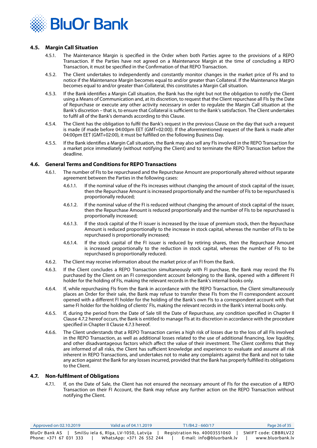

#### **4.5. Margin Call Situation**

- 4.5.1. The Maintenance Margin is specified in the Order when both Parties agree to the provisions of a REPO Transaction. If the Parties have not agreed on a Maintenance Margin at the time of concluding a REPO Transaction, it must be specified in the Confirmation of that REPO Transaction.
- 4.5.2. The Client undertakes to independently and constantly monitor changes in the market price of FIs and to notice if the Maintenance Margin becomes equal to and/or greater than Collateral. If the Maintenance Margin becomes equal to and/or greater than Collateral, this constitutes a Margin Call situation.
- 4.5.3. If the Bank identifies a Margin Call situation, the Bank has the right but not the obligation to notify the Client using a Means of Communication and, at its discretion, to request that the Client repurchase all FIs by the Date of Repurchase or execute any other activity necessary in order to regulate the Margin Call situation at the Bank's discretion – that is, to ensure that Collateral is sufficient to the Bank's satisfaction. The Client undertakes to fulfil all of the Bank's demands according to this Clause.
- 4.5.4. The Client has the obligation to fulfil the Bank's request in the previous Clause on the day that such a request is made (if made before 04:00pm EET (GMT+02:00)). If the aforementioned request of the Bank is made after 04:00pm EET (GMT+02:00), it must be fulfilled on the following Business Day.
- 4.5.5. If the Bank identifies a Margin Call situation, the Bank may also sell any FIs involved in the REPO Transaction for a market price immediately (without notifying the Client) and to terminate the REPO Transaction before the deadline.

#### **4.6. General Terms and Conditions for REPO Transactions**

- 4.6.1. The number of FIs to be repurchased and the Repurchase Amount are proportionally altered without separate agreement between the Parties in the following cases:
	- 4.6.1.1. If the nominal value of the FIs increases without changing the amount of stock capital of the issuer, then the Repurchase Amount is increased proportionally and the number of FIs to be repurchased is proportionally reduced;
	- 4.6.1.2. If the nominal value of the FI is reduced without changing the amount of stock capital of the issuer, then the Repurchase Amount is reduced proportionally and the number of FIs to be repurchased is proportionally increased;
	- 4.6.1.3. If the stock capital of the FI issuer is increased by the issue of premium stock, then the Repurchase Amount is reduced proportionally to the increase in stock capital, whereas the number of FIs to be repurchased is proportionally increased;
	- 4.6.1.4. If the stock capital of the FI issuer is reduced by retiring shares, then the Repurchase Amount is increased proportionally to the reduction in stock capital, whereas the number of FIs to be repurchased is proportionally reduced.
- 4.6.2. The Client may receive information about the market price of an FI from the Bank.
- 4.6.3. If the Client concludes a REPO Transaction simultaneously with FI purchase, the Bank may record the FIs purchased by the Client on an FI correspondent account belonging to the Bank, opened with a different FI holder for the holding of FIs, making the relevant records in the Bank's internal books only.
- 4.6.4. If, while repurchasing FIs from the Bank in accordance with the REPO Transaction, the Client simultaneously places an Order for their sale, the Bank may refuse to transfer these FIs from the FI correspondent account opened with a different FI holder for the holding of the Bank's own FIs to a correspondent account with that same FI holder for the holding of clients' FIs, making the relevant records in the Bank's internal books only.
- 4.6.5. If, during the period from the Date of Sale till the Date of Repurchase, any condition specified in Chapter II Clause 4.7.2 hereof occurs, the Bank is entitled to manage FIs at its discretion in accordance with the procedure specified in Chapter II Clause 4.7.3 hereof.
- 4.6.6. The Client understands that a REPO Transaction carries a high risk of losses due to the loss of all FIs involved in the REPO Transaction, as well as additional losses related to the use of additional financing, low liquidity, and other disadvantageous factors which affect the value of their investment. The Client confirms that they are informed of all risks, the Client has sufficient knowledge and experience to evaluate and assume all risk inherent in REPO Transactions, and undertakes not to make any complaints against the Bank and not to take any action against the Bank for any losses incurred, provided that the Bank has properly fulfilled its obligations to the Client.

#### **4.7. Non-fulfilment of Obligations**

4.7.1. If, on the Date of Sale, the Client has not ensured the necessary amount of FIs for the execution of a REPO Transaction on their FI Account, the Bank may refuse any further action on the REPO Transaction without notifying the Client.

| Approved on 02.10.2019 | Valid as of 04.11.2019                | T1/B4.2 - 660/17             | Page 26 of 35        |
|------------------------|---------------------------------------|------------------------------|----------------------|
| BluOr Bank AS          | Smilšu iela 6, Rīga, LV-1050, Latvija | Registration No. 40003551060 | SWIFT code: CBBRLV22 |
| Phone: +371 67 031 333 | WhatsApp: +371 26 552 244             | E-mail: info@bluorbank.lv    | www.bluorbank.lv     |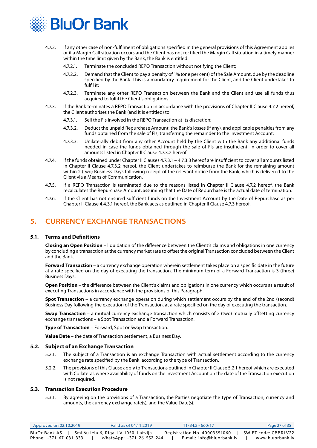<span id="page-26-0"></span>

- 4.7.2. If any other case of non-fulfilment of obligations specified in the general provisions of this Agreement applies or if a Margin Call situation occurs and the Client has not rectified the Margin Call situation in a timely manner within the time limit given by the Bank, the Bank is entitled:
	- 4.7.2.1. Terminate the concluded REPO Transaction without notifying the Client;
	- 4.7.2.2. Demand that the Client to pay a penalty of 1% (one per cent) of the Sale Amount, due by the deadline specified by the Bank. This is a mandatory requirement for the Client, and the Client undertakes to fulfil it;
	- 4.7.2.3. Terminate any other REPO Transaction between the Bank and the Client and use all funds thus acquired to fulfil the Client's obligations.
- 4.7.3. If the Bank terminates a REPO Transaction in accordance with the provisions of Chapter II Clause 4.7.2 hereof, the Client authorises the Bank (and it is entitled) to:
	- 4.7.3.1. Sell the FIs involved in the REPO Transaction at its discretion;
	- 4.7.3.2. Deduct the unpaid Repurchase Amount, the Bank's losses (if any), and applicable penalties from any funds obtained from the sale of FIs, transferring the remainder to the Investment Account;
	- 4.7.3.3. Unilaterally debit from any other Account held by the Client with the Bank any additional funds needed in case the funds obtained through the sale of FIs are insufficient, in order to cover all amounts listed in Chapter II Clause 4.7.3.2 hereof.
- 4.7.4. If the funds obtained under Chapter II Clauses 4.7.3.1 4.7.3.3 hereof are insufficient to cover all amounts listed in Chapter II Clause 4.7.3.2 hereof, the Client undertakes to reimburse the Bank for the remaining amount within 2 (two) Business Days following receipt of the relevant notice from the Bank, which is delivered to the Client via a Means of Communication.
- 4.7.5. If a REPO Transaction is terminated due to the reasons listed in Chapter II Clause 4.7.2 hereof, the Bank recalculates the Repurchase Amount, assuming that the Date of Repurchase is the actual date of termination.
- 4.7.6. If the Client has not ensured sufficient funds on the Investment Account by the Date of Repurchase as per Chapter II Clause 4.4.3.1 hereof, the Bank acts as outlined in Chapter II Clause 4.7.3 hereof.

## **5. CURRENCY EXCHANGE TRANSACTIONS**

#### **5.1. Terms and Definitions**

**Closing an Open Position** – liquidation of the difference between the Client's claims and obligations in one currency by concluding a transaction at the currency market rate to offset the original Transaction concluded between the Client and the Bank.

**Forward Transaction** – a currency exchange operation wherein settlement takes place on a specific date in the future at a rate specified on the day of executing the transaction. The minimum term of a Forward Transaction is 3 (three) Business Days.

**Open Position** – the difference between the Client's claims and obligations in one currency which occurs as a result of executing Transactions in accordance with the provisions of this Paragraph.

**Spot Transaction** – a currency exchange operation during which settlement occurs by the end of the 2nd (second) Business Day following the execution of the Transaction, at a rate specified on the day of executing the transaction.

**Swap Transaction** – a mutual currency exchange transaction which consists of 2 (two) mutually offsetting currency exchange transactions – a Spot Transaction and a Forward Transaction.

**Type of Transaction** – Forward, Spot or Swap transaction.

**Value Date** – the date of Transaction settlement, a Business Day.

#### **5.2. Subject of an Exchange Transaction**

- 5.2.1. The subject of a Transaction is an exchange Transaction with actual settlement according to the currency exchange rate specified by the Bank, according to the type of Transaction.
- 5.2.2. The provisions of this Clause apply to Transactions outlined in Chapter II Clause 5.2.1 hereof which are executed with Collateral, where availability of funds on the Investment Account on the date of the Transaction execution is not required.

#### **5.3. Transaction Execution Procedure**

5.3.1. By agreeing on the provisions of a Transaction, the Parties negotiate the type of Transaction, currency and amounts, the currency exchange rate(s), and the Value Date(s).

| Approved on 02.10.2019                                | Valid as of 04.11.2019    |  | T1/B4.2 - 660/17             | Page 27 of 35        |
|-------------------------------------------------------|---------------------------|--|------------------------------|----------------------|
| BluOr Bank AS   Smilšu iela 6, Rīga, LV-1050, Latvija |                           |  | Registration No. 40003551060 | SWIFT code: CBBRLV22 |
| Phone: +371 67 031 333                                | WhatsApp: +371 26 552 244 |  | E-mail: info@bluorbank.lv    | www.bluorbank.lv     |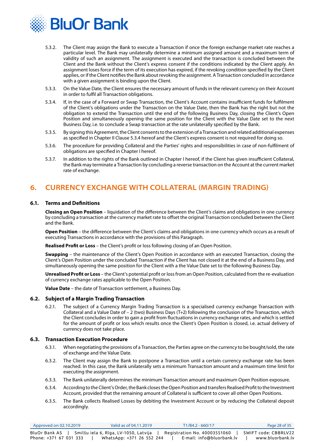<span id="page-27-0"></span>

- 5.3.2. The Client may assign the Bank to execute a Transaction if once the foreign exchange market rate reaches a particular level. The Bank may unilaterally determine a minimum assigned amount and a maximum term of validity of such an assignment. The assignment is executed and the transaction is concluded between the Client and the Bank without the Client's express consent if the conditions indicated by the Client apply. An assignment loses force if the term of its execution has expired, if the revoking condition specified by the Client applies, or if the Client notifies the Bank about revoking the assignment. A Transaction concluded in accordance with a given assignment is binding upon the Client.
- 5.3.3. On the Value Date, the Client ensures the necessary amount of funds in the relevant currency on their Account in order to fulfil all Transaction obligations.
- 5.3.4. If, in the case of a Forward or Swap Transaction, the Client's Account contains insufficient funds for fulfilment of the Client's obligations under the Transaction on the Value Date, then the Bank has the right but not the obligation to extend the Transaction until the end of the following Business Day, closing the Client's Open Position and simultaneously opening the same position for the Client with the Value Date set to the next Business Day, i.e. to conclude a Swap transaction at the rate unilaterally specified by the Bank.
- 5.3.5. By signing this Agreement, the Client consents to the extension of a Transaction and related additional expenses as specified in Chapter II Clause 5.3.4 hereof and the Client's express consent is not required for doing so.
- 5.3.6. The procedure for providing Collateral and the Parties' rights and responsibilities in case of non-fulfilment of obligations are specified in Chapter I hereof.
- 5.3.7. In addition to the rights of the Bank outlined in Chapter I hereof, if the Client has given insufficient Collateral, the Bank may terminate a Transaction by concluding a reverse transaction on the Account at the current market rate of exchange.

## **6. CURRENCY EXCHANGE WITH COLLATERAL (MARGIN TRADING)**

#### **6.1. Terms and Definitions**

**Closing an Open Position** – liquidation of the difference between the Client's claims and obligations in one currency by concluding a transaction at the currency market rate to offset the original Transaction concluded between the Client and the Bank.

**Open Position** – the difference between the Client's claims and obligations in one currency which occurs as a result of executing Transactions in accordance with the provisions of this Paragraph.

**Realised Profit or Loss** – the Client's profit or loss following closing of an Open Position.

**Swapping** – the maintenance of the Client's Open Position in accordance with an executed Transaction, closing the Client's Open Position under the concluded Transaction if the Client has not closed it at the end of a Business Day, and simultaneously opening the same position for the Client with a the Value Date set to the following Business Day.

**Unrealised Profit or Loss** – the Client's potential profit or loss from an Open Position, calculated from the re-evaluation of currency exchange rates applicable to the Open Position.

**Value Date** – the date of Transaction settlement, a Business Day.

#### **6.2. Subject of a Margin Trading Transaction**

6.2.1. The subject of a Currency Margin Trading Transaction is a specialised currency exchange Transaction with Collateral and a Value Date of – 2 (two) Business Days (T+2) following the conclusion of the Transaction, which the Client concludes in order to gain a profit from fluctuations in currency exchange rates, and which is settled for the amount of profit or loss which results once the Client's Open Position is closed, i.e. actual delivery of currency does not take place.

#### **6.3. Transaction Execution Procedure**

- 6.3.1. When negotiating the provisions of a Transaction, the Parties agree on the currency to be bought/sold, the rate of exchange and the Value Date.
- 6.3.2. The Client may assign the Bank to postpone a Transaction until a certain currency exchange rate has been reached. In this case, the Bank unilaterally sets a minimum Transaction amount and a maximum time limit for executing the assignment.
- 6.3.3. The Bank unilaterally determines the minimum Transaction amount and maximum Open Position exposure.
- 6.3.4. According to the Client's Order, the Bank closes the Open Position and transfers Realised Profit to the Investment Account, provided that the remaining amount of Collateral is sufficient to cover all other Open Positions.
- 6.3.5. The Bank collects Realised Losses by debiting the Investment Account or by reducing the Collateral deposit accordingly.

| Approved on 02.10.2019 | Valid as of 04.11.2019                | $T1/B4.2 - 660/17$           | Page 28 of 35        |
|------------------------|---------------------------------------|------------------------------|----------------------|
| BluOr Bank AS          | Smilšu iela 6, Rīga, LV-1050, Latvija | Registration No. 40003551060 | SWIFT code: CBBRLV22 |
| Phone: +371 67 031 333 | WhatsApp: +371 26 552 244             | E-mail: info@bluorbank.lv    | www.bluorbank.lv     |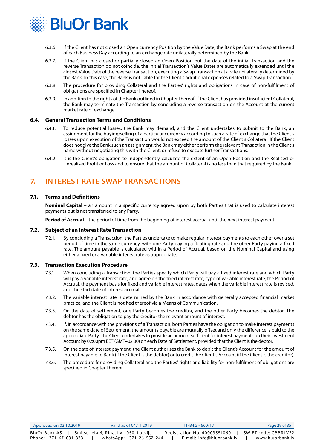<span id="page-28-0"></span>

- 6.3.6. If the Client has not closed an Open currency Position by the Value Date, the Bank performs a Swap at the end of each Business Day according to an exchange rate unilaterally determined by the Bank.
- 6.3.7. If the Client has closed or partially closed an Open Position but the date of the initial Transaction and the reverse Transaction do not coincide, the initial Transaction's Value Dates are automatically extended until the closest Value Date of the reverse Transaction, executing a Swap Transaction at a rate unilaterally determined by the Bank. In this case, the Bank is not liable for the Client's additional expenses related to a Swap Transaction.
- 6.3.8. The procedure for providing Collateral and the Parties' rights and obligations in case of non-fulfilment of obligations are specified in Chapter I hereof.
- 6.3.9. In addition to the rights of the Bank outlined in Chapter I hereof, if the Client has provided insufficient Collateral, the Bank may terminate the Transaction by concluding a reverse transaction on the Account at the current market rate of exchange.

#### **6.4. General Transaction Terms and Conditions**

- 6.4.1. To reduce potential losses, the Bank may demand, and the Client undertakes to submit to the Bank, an assignment for the buying/selling of a particular currency according to such a rate of exchange that the Client's losses upon execution of the Transaction would not exceed the amount of the Client's Collateral. If the Client does not give the Bank such an assignment, the Bank may either perform the relevant Transaction in the Client's name without negotiating this with the Client, or refuse to execute further Transactions.
- 6.4.2. It is the Client's obligation to independently calculate the extent of an Open Position and the Realised or Unrealised Profit or Loss and to ensure that the amount of Collateral is no less than that required by the Bank.

## **7. INTEREST RATE SWAP TRANSACTIONS**

#### **7.1. Terms and Definitions**

**Nominal Capital** – an amount in a specific currency agreed upon by both Parties that is used to calculate interest payments but is not transferred to any Party.

**Period of Accrual** – the period of time from the beginning of interest accrual until the next interest payment.

#### **7.2. Subject of an Interest Rate Transaction**

7.2.1. By concluding a Transaction, the Parties undertake to make regular interest payments to each other over a set period of time in the same currency, with one Party paying a floating rate and the other Party paying a fixed rate. The amount payable is calculated within a Period of Accrual, based on the Nominal Capital and using either a fixed or a variable interest rate as appropriate.

#### **7.3. Transaction Execution Procedure**

- 7.3.1. When concluding a Transaction, the Parties specify which Party will pay a fixed interest rate and which Party will pay a variable interest rate, and agree on the fixed interest rate, type of variable interest rate, the Period of Accrual, the payment basis for fixed and variable interest rates, dates when the variable interest rate is revised, and the start date of interest accrual.
- 7.3.2. The variable interest rate is determined by the Bank in accordance with generally accepted financial market practice, and the Client is notified thereof via a Means of Communication.
- 7.3.3. On the date of settlement, one Party becomes the creditor, and the other Party becomes the debtor. The debtor has the obligation to pay the creditor the relevant amount of interest.
- 7.3.4. If, in accordance with the provisions of a Transaction, both Parties have the obligation to make interest payments on the same date of Settlement, the amounts payable are mutually offset and only the difference is paid to the appropriate Party. The Client undertakes to provide an amount sufficient for interest payments on their Investment Account by 02:00pm EET (GMT+02:00) on each Date of Settlement, provided that the Client is the debtor.
- 7.3.5. On the date of interest payment, the Client authorises the Bank to debit the Client's Account for the amount of interest payable to Bank (if the Client is the debtor) or to credit the Client's Account (if the Client is the creditor).
- 7.3.6. The procedure for providing Collateral and the Parties' rights and liability for non-fulfilment of obligations are specified in Chapter I hereof.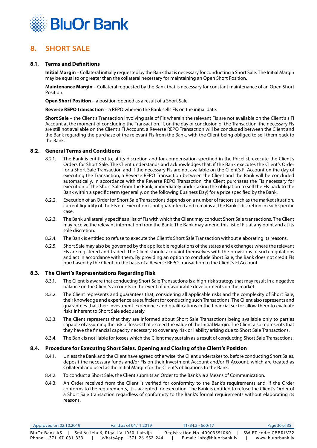<span id="page-29-0"></span>

## **8. SHORT SALE**

#### **8.1. Terms and Definitions**

**Initial Margin** – Collateral initially requested by the Bank that is necessary for conducting a Short Sale. The Initial Margin may be equal to or greater than the collateral necessary for maintaining an Open Short Position.

**Maintenance Margin** – Collateral requested by the Bank that is necessary for constant maintenance of an Open Short Position.

**Open Short Position** – a position opened as a result of a Short Sale.

**Reverse REPO transaction** – a REPO wherein the Bank sells FIs on the initial date.

**Short Sale** – the Client's Transaction involving sale of FIs wherein the relevant FIs are not available on the Client's s FI Account at the moment of concluding the Transaction. If, on the day of conclusion of the Transaction, the necessary FIs are still not available on the Client's FI Account, a Reverse REPO Transaction will be concluded between the Client and the Bank regarding the purchase of the relevant FIs from the Bank, with the Client being obliged to sell them back to the Bank.

#### **8.2. General Terms and Conditions**

- 8.2.1. The Bank is entitled to, at its discretion and for compensation specified in the Pricelist, execute the Client's Orders for Short Sale. The Client understands and acknowledges that, if the Bank executes the Client's Order for a Short Sale Transaction and if the necessary FIs are not available on the Client's FI Account on the day of executing the Transaction, a Reverse REPO Transaction between the Client and the Bank will be concluded automatically. In accordance with the Reverse REPO Transaction, the Client purchases the FIs necessary for execution of the Short Sale from the Bank, immediately undertaking the obligation to sell the FIs back to the Bank within a specific term (generally, on the following Business Day) for a price specified by the Bank.
- 8.2.2. Execution of an Order for Short Sale Transactions depends on a number of factors such as the market situation, current liquidity of the FIs etc. Execution is not guaranteed and remains at the Bank's discretion in each specific case.
- 8.2.3. The Bank unilaterally specifies a list of FIs with which the Client may conduct Short Sale transactions. The Client may receive the relevant information from the Bank. The Bank may amend this list of FIs at any point and at its sole discretion.
- 8.2.4. The Bank is entitled to refuse to execute the Client's Short Sale Transaction without elaborating its reasons.
- 8.2.5. Short Sale may also be governed by the applicable regulations of the states and exchanges where the relevant FIs are registered and traded. The Client should acquaint themselves with the provisions of such regulations and act in accordance with them. By providing an option to conclude Short Sale, the Bank does not credit FIs purchased by the Client on the basis of a Reverse REPO Transaction to the Client's FI Account.

#### **8.3. The Client's Representations Regarding Risk**

- 8.3.1. The Client is aware that conducting Short Sale Transactions is a high-risk strategy that may result in a negative balance on the Client's accounts in the event of unfavourable developments on the market.
- 8.3.2. The Client represents and guarantees that, considering all applicable risks and the complexity of Short Sale, their knowledge and experience are sufficient for conducting such Transactions. The Client also represents and guarantees that their investment experience and qualifications in the financial sector allow them to evaluate risks inherent to Short Sale adequately.
- 8.3.3. The Client represents that they are informed about Short Sale Transactions being available only to parties capable of assuming the risk of losses that exceed the value of the Initial Margin. The Client also represents that they have the financial capacity necessary to cover any risk or liability arising due to Short Sale Transactions.
- 8.3.4. The Bank is not liable for losses which the Client may sustain as a result of conducting Short Sale Transactions.

#### **8.4. Procedure for Executing Short Sales. Opening and Closing of the Client's Position**

- 8.4.1. Unless the Bank and the Client have agreed otherwise, the Client undertakes to, before conducting Short Sales, deposit the necessary funds and/or FIs on their Investment Account and/or FI Account, which are treated as Collateral and used as the Initial Margin for the Client's obligations to the Bank.
- 8.4.2. To conduct a Short Sale, the Client submits an Order to the Bank via a Means of Communication.
- 8.4.3. An Order received from the Client is verified for conformity to the Bank's requirements and, if the Order conforms to the requirements, it is accepted for execution. The Bank is entitled to refuse the Client's Order of a Short Sale transaction regardless of conformity to the Bank's formal requirements without elaborating its reasons.

| Approved on 02.10.2019 | Valid as of 04.11.2019                | T1/B4.2 - 660/17             | Page 30 of 35        |
|------------------------|---------------------------------------|------------------------------|----------------------|
| BluOr Bank AS          | Smilšu iela 6, Rīga, LV-1050, Latvija | Registration No. 40003551060 | SWIFT code: CBBRLV22 |
| Phone: +371 67 031 333 | WhatsApp: +371 26 552 244             | E-mail: info@bluorbank.lv    | www.bluorbank.lv     |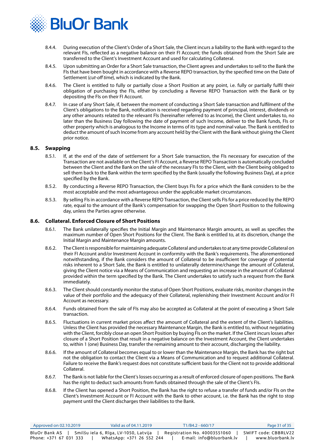

- 8.4.4. During execution of the Client's Order of a Short Sale, the Client incurs a liability to the Bank with regard to the relevant FIs, reflected as a negative balance on their FI Account; the funds obtained from the Short Sale are transferred to the Client's Investment Account and used for calculating Collateral.
- 8.4.5. Upon submitting an Order for a Short Sale transaction, the Client agrees and undertakes to sell to the Bank the FIs that have been bought in accordance with a Reverse REPO transaction, by the specified time on the Date of Settlement (*cut-off time*), which is indicated by the Bank.
- 8.4.6. The Client is entitled to fully or partially close a Short Position at any point, i.e. fully or partially fulfil their obligation of purchasing the FIs, either by concluding a Reverse REPO Transaction with the Bank or by depositing the FIs on their FI Account.
- 8.4.7. In case of any Short Sale, if, between the moment of conducting a Short Sale transaction and fulfilment of the Client's obligations to the Bank, notification is received regarding payment of principal, interest, dividends or any other amounts related to the relevant FIs (hereinafter referred to as Income), the Client undertakes to, no later than the Business Day following the date of payment of such Income, deliver to the Bank funds, FIs or other property which is analogous to the Income in terms of its type and nominal value. The Bank is entitled to deduct the amount of such Income from any account held by the Client with the Bank without giving the Client prior notice.

#### **8.5. Swapping**

- 8.5.1. If, at the end of the date of settlement for a Short Sale transaction, the FIs necessary for execution of the Transaction are not available on the Client's FI Account, a Reverse REPO Transaction is automatically concluded between the Client and the Bank on the sale of the necessary FIs to the Client, with the Client being obliged to sell them back to the Bank within the term specified by the Bank (usually the following Business Day), at a price specified by the Bank.
- 8.5.2. By conducting a Reverse REPO Transaction, the Client buys FIs for a price which the Bank considers to be the most acceptable and the most advantageous under the applicable market circumstances.
- 8.5.3. By selling FIs in accordance with a Reverse REPO Transaction, the Client sells FIs for a price reduced by the REPO rate, equal to the amount of the Bank's compensation for swapping the Open Short Position to the following day, unless the Parties agree otherwise.

#### **8.6. Collateral. Enforced Closure of Short Positions**

- 8.6.1. The Bank unilaterally specifies the Initial Margin and Maintenance Margin amounts, as well as specifies the maximum number of Open Short Positions for the Client. The Bank is entitled to, at its discretion, change the Initial Margin and Maintenance Margin amounts.
- 8.6.2. The Client is responsible for maintaining adequate Collateral and undertakes to at any time provide Collateral on their FI Account and/or Investment Account in conformity with the Bank's requirements. The aforementioned notwithstanding, if the Bank considers the amount of Collateral to be insufficient for coverage of potential risks inherent to a Short Sale, the Bank is entitled to unilaterally determine/change the amount of Collateral, giving the Client notice via a Means of Communication and requesting an increase in the amount of Collateral provided within the term specified by the Bank. The Client undertakes to satisfy such a request from the Bank immediately.
- 8.6.3. The Client should constantly monitor the status of Open Short Positions, evaluate risks, monitor changes in the value of their portfolio and the adequacy of their Collateral, replenishing their Investment Account and/or FI Account as necessary.
- 8.6.4. Funds obtained from the sale of FIs may also be accepted as Collateral at the point of executing a Short Sale transaction.
- 8.6.5. Fluctuations in current market prices affect the amount of Collateral and the extent of the Client's liabilities. Unless the Client has provided the necessary Maintenance Margin, the Bank is entitled to, without negotiating with the Client, forcibly close an open Short Position by buying FIs on the market. If the Client incurs losses after closure of a Short Position that result in a negative balance on the Investment Account, the Client undertakes to, within 1 (one) Business Day, transfer the remaining amount to their account, discharging the liability.
- 8.6.6. If the amount of Collateral becomes equal to or lower than the Maintenance Margin, the Bank has the right but not the obligation to contact the Client via a Means of Communication and to request additional Collateral. Failure to receive the Bank's request does not constitute sufficient basis for the Client not to provide additional Collateral.
- 8.6.7. The Bank is not liable for the Client's losses occurring as a result of enforced closure of open positions. The Bank has the right to deduct such amounts from funds obtained through the sale of the Client's FIs.
- 8.6.8. If the Client has opened a Short Position, the Bank has the right to refuse a transfer of funds and/or FIs on the Client's Investment Account or FI Account with the Bank to other account, i.e. the Bank has the right to stop payment until the Client discharges their liabilities to the Bank.

| Approved on $02.10.2019$ | Valid as of 04.11.2019                | $T1/B4.2 - 660/17$           | Page 31 of 35        |
|--------------------------|---------------------------------------|------------------------------|----------------------|
| BluOr Bank AS            | Smilšu iela 6, Rīga, LV-1050, Latvija | Registration No. 40003551060 | SWIFT code: CBBRLV22 |
| Phone: +371 67 031 333   | WhatsApp: +371 26 552 244             | E-mail: info@bluorbank.lv    | www.bluorbank.lv     |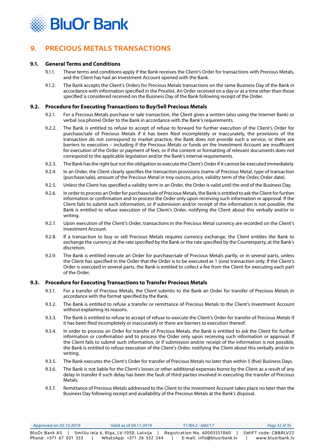<span id="page-31-0"></span>

## **9. PRECIOUS METALS TRANSACTIONS**

#### **9.1. General Terms and Conditions**

- 9.1.1. These terms and conditions apply if the Bank receives the Client's Order for transactions with Precious Metals, and the Client has had an Investment Account opened with the Bank.
- 9.1.2. The Bank accepts the Client's Orders for Precious Metals transactions on the same Business Day of the Bank in accordance with information specified in the Pricelist. An Order received on a day or at a time other than those specified is considered received on the Business Day of the Bank following receipt of the Order.

#### **9.2. Procedure for Executing Transactions to Buy/Sell Precious Metals**

- 9.2.1. For a Precious Metals purchase or sale transaction, the Client gives a written (also using the Internet Bank) or verbal (via phone) Order to the Bank in accordance with the Bank's requirements.
- 9.2.2. The Bank is entitled to refuse to accept of refuse to forward for further execution of the Client's Order for purchase/sale of Precious Metals if it has been filed incompletely or inaccurately, the provisions of the transaction do not correspond to market practice, the Bank does not provide such a service, or there are barriers to execution – including if the Precious Metals or funds on the Investment Account are insufficient for execution of the Order or payment of fees, or if the content or formatting of relevant documents does not correspond to the applicable legislation and/or the Bank's internal requirements.
- 9.2.3. The Bank has the right but not the obligation to execute the Client's Order if it cannot be executed immediately.
- 9.2.4. In an Order, the Client clearly specifies the transaction provisions (name of Precious Metal, type of transaction (purchase/sale), amount of the Precious Metal in troy ounces, price, validity term of the Order, Order date).
- 9.2.5. Unless the Client has specified a validity term in an Order, the Order is valid until the end of the Business Day.
- 9.2.6. In order to process an Order for purchase/sale of Precious Metals, the Bank is entitled to ask the Client for further information or confirmation and to process the Order only upon receiving such information or approval. If the Client fails to submit such information, or if submission and/or receipt of the information is not possible, the Bank is entitled to refuse execution of the Client's Order, notifying the Client about this verbally and/or in writing.
- 9.2.7. Upon execution of the Client's Order, transactions in the Precious Metal currency are recorded on the Client's Investment Account.
- 9.2.8. If a transaction to buy or sell Precious Metals requires currency exchange, the Client entitles the Bank to exchange the currency at the rate specified by the Bank or the rate specified by the Counterparty, at the Bank's discretion.
- 9.2.9. The Bank is entitled execute an Order for purchase/sale of Precious Metals partly, or in several parts, unless the Client has specified in the Order that the Order is to be executed as 1 (one) transaction only. If the Client's Order is executed in several parts, the Bank is entitled to collect a fee from the Client for executing each part of the Order.

#### **9.3. Procedure for Executing Transactions to Transfer Precious Metals**

- 9.3.1. For a transfer of Precious Metals, the Client submits to the Bank an Order for transfer of Precious Metals in accordance with the format specified by the Bank.
- 9.3.2. The Bank is entitled to refuse a transfer or remittance of Precious Metals to the Client's Investment Account without explaining its reasons.
- 9.3.3. The Bank is entitled to refuse to accept of refuse to execute the Client's Order for transfer of Precious Metals if it has been filed incompletely or inaccurately or there are barriers to execution thereof.
- 9.3.4. In order to process an Order for transfer of Precious Metals, the Bank is entitled to ask the Client for further information or confirmation and to process the Order only upon receiving such information or approval. If the Client fails to submit such information, or if submission and/or receipt of the information is not possible, the Bank is entitled to refuse execution of the Client's Order, notifying the Client about this verbally and/or in writing.
- 9.3.5. The Bank executes the Client's Order for transfer of Precious Metals no later than within 5 (five) Business Days.
- 9.3.6. The Bank is not liable for the Client's losses or other additional expenses borne by the Client as a result of any delay in transfer if such delay has been the fault of third parties involved in executing the transfer of Precious Metals.
- 9.3.7. Remittance of Precious Metals addressed to the Client to the Investment Account takes place no later than the Business Day following receipt and availability of the Precious Metals at the Bank's disposal.

| Approved on 02.10.2019 | Valid as of 04.11.2019                | $T1/B4.2 - 660/17$           | Page 32 of 35        |
|------------------------|---------------------------------------|------------------------------|----------------------|
| BluOr Bank AS          | Smilšu iela 6, Rīga, LV-1050, Latvija | Registration No. 40003551060 | SWIFT code: CBBRLV22 |
| Phone: +371 67 031 333 | WhatsApp: +371 26 552 244             | E-mail: info@bluorbank.lv    | www.bluorbank.lv     |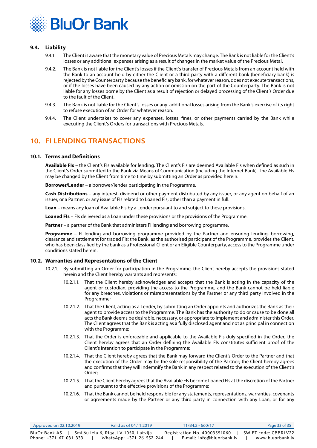<span id="page-32-0"></span>

#### **9.4. Liability**

- 9.4.1. The Client is aware that the monetary value of Precious Metals may change. The Bank is not liable for the Client's losses or any additional expenses arising as a result of changes in the market value of the Precious Metal.
- 9.4.2. The Bank is not liable for the Client's losses if the Client's transfer of Precious Metals from an account held with the Bank to an account held by either the Client or a third party with a different bank (beneficiary bank) is rejected by the Counterparty because the beneficiary bank, for whatever reason, does not execute transactions, or if the losses have been caused by any action or omission on the part of the Counterparty. The Bank is not liable for any losses borne by the Client as a result of rejection or delayed processing of the Client's Order due to the fault of the Client.
- 9.4.3. The Bank is not liable for the Client's losses or any additional losses arising from the Bank's exercise of its right to refuse execution of an Order for whatever reason.
- 9.4.4. The Client undertakes to cover any expenses, losses, fines, or other payments carried by the Bank while executing the Client's Orders for transactions with Precious Metals.

## **10. FI LENDING TRANSACTIONS**

#### **10.1. Terms and Definitions**

**Available FIs** – the Client's FIs available for lending. The Client's FIs are deemed Available FIs when defined as such in the Client's Order submitted to the Bank via Means of Communication (including the Internet Bank). The Available FIs may be changed by the Client from time to time by submitting an Order as provided herein.

**Borrower/Lender** – a borrower/lender participating in the Programme.

**Cash Distributions** – any interest, dividend or other payment distributed by any issuer, or any agent on behalf of an issuer, or a Partner, or any issue of FIs related to Loaned FIs, other than a payment in full.

**Loan** – means any loan of Available FIs by a Lender pursuant to and subject to these provisions.

**Loaned FIs** – FIs delivered as a Loan under these provisions or the provisions of the Programme.

**Partner** – a partner of the Bank that administers FI lending and borrowing programme.

**Programme** – FI lending and borrowing programme provided by the Partner and ensuring lending, borrowing, clearance and settlement for traded FIs; the Bank, as the authorised participant of the Programme, provides the Client, who has been classified by the bank as a Professional Client or an Eligible Counterparty, access to the Programme under conditions stated herein.

#### **10.2. Warranties and Representations of the Client**

- 10.2.1. By submitting an Order for participation in the Programme, the Client hereby accepts the provisions stated herein and the Client hereby warrants and represents:
	- 10.2.1.1. That the Client hereby acknowledges and accepts that the Bank is acting in the capacity of the agent or custodian, providing the access to the Programme, and the Bank cannot be held liable for any breaches, violations or misrepresentations by the Partner or any third party involved in the Programme;
	- 10.2.1.2. That the Client, acting as a Lender, by submitting an Order appoints and authorizes the Bank as their agent to provide access to the Programme. The Bank has the authority to do or cause to be done all acts the Bank deems be desirable, necessary, or appropriate to implement and administer this Order. The Client agrees that the Bank is acting as a fully disclosed agent and not as principal in connection with the Programme;
	- 10.2.1.3. That the Order is enforceable and applicable to the Available FIs duly specified in the Order; the Client hereby agrees that an Order defining the Available FIs constitutes sufficient proof of the Client's intention to participate in the Programme;
	- 10.2.1.4. That the Client hereby agrees that the Bank may forward the Client's Order to the Partner and that the execution of the Order may be the sole responsibility of the Partner; the Client hereby agrees and confirms that they will indemnify the Bank in any respect related to the execution of the Client's Order;
	- 10.2.1.5. That the Client hereby agrees that the Available FIs become Loaned FIs at the discretion of the Partner and pursuant to the effective provisions of the Programme;
	- 10.2.1.6. That the Bank cannot be held responsible for any statements, representations, warranties, covenants or agreements made by the Partner or any third party in connection with any Loan, or for any

| Approved on 02.10.2019 | Valid as of 04.11.2019                | T1/B4.2 - 660/17             | Page 33 of 35        |
|------------------------|---------------------------------------|------------------------------|----------------------|
| BluOr Bank AS          | Smilšu iela 6, Rīga, LV-1050, Latvija | Registration No. 40003551060 | SWIFT code: CBBRLV22 |
| Phone: +371 67 031 333 | WhatsApp: +371 26 552 244             | E-mail: info@bluorbank.lv    | www.bluorbank.lv     |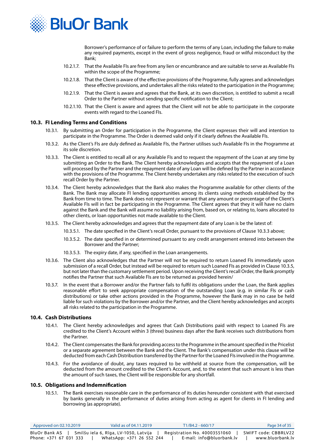

Borrower's performance of or failure to perform the terms of any Loan, including the failure to make any required payments, except in the event of gross negligence, fraud or wilful misconduct by the Bank;

- 10.2.1.7. That the Available FIs are free from any lien or encumbrance and are suitable to serve as Available FIs within the scope of the Programme;
- 10.2.1.8. That the Client is aware of the effective provisions of the Programme, fully agrees and acknowledges these effective provisions, and undertakes all the risks related to the participation in the Programme;
- 10.2.1.9. That the Client is aware and agrees that the Bank, at its own discretion, is entitled to submit a recall Order to the Partner without sending specific notification to the Client;
- 10.2.1.10. That the Client is aware and agrees that the Client will not be able to participate in the corporate events with regard to the Loaned FIs.

#### **10.3. FI Lending Terms and Conditions**

- 10.3.1. By submitting an Order for participation in the Programme, the Client expresses their will and intention to participate in the Programme. The Order is deemed valid only if it clearly defines the Available FIs.
- 10.3.2. As the Client's FIs are duly defined as Available FIs, the Partner utilises such Available FIs in the Programme at its sole discretion.
- 10.3.3. The Client is entitled to recall all or any Available FIs and to request the repayment of the Loan at any time by submitting an Order to the Bank. The Client hereby acknowledges and accepts that the repayment of a Loan will processed by the Partner and the repayment date of any Loan will be defined by the Partner in accordance with the provisions of the Programme. The Client hereby undertakes any risks related to the execution of such recall Order by the Partner.
- 10.3.4. The Client hereby acknowledges that the Bank also makes the Programme available for other clients of the Bank. The Bank may allocate FI lending opportunities among its clients using methods established by the Bank from time to time. The Bank does not represent or warrant that any amount or percentage of the Client's Available FIs will in fact be participating in the Programme. The Client agrees that they it will have no claim against the Bank and the Bank will assume no liability arising from, based on, or relating to, loans allocated to other clients, or loan opportunities not made available to the Client.
- 10.3.5. The Client hereby acknowledges and agrees that the repayment date of any Loan is be the latest of:
	- 10.3.5.1. The date specified in the Client's recall Order, pursuant to the provisions of Clause 10.3.3 above;
	- 10.3.5.2. The date specified in or determined pursuant to any credit arrangement entered into between the Borrower and the Partner;
	- 10.3.5.3. The expiry date, if any, specified in the Loan arrangements.
- 10.3.6. The Client also acknowledges that the Partner will not be required to return Loaned FIs immediately upon submission of a recall Order, but instead will be required to return such Loaned FIs as provided in Clause 10.3.5, but not later than the customary settlement period. Upon receiving the Client's recall Order, the Bank promptly notifies the Partner that such Available FIs are to be returned as provided herein/
- 10.3.7. In the event that a Borrower and/or the Partner fails to fulfil its obligations under the Loan, the Bank applies reasonable effort to seek appropriate compensation of the outstanding Loan (e.g. in similar FIs or cash distributions) or take other actions provided in the Programme, however the Bank may in no case be held liable for such violations by the Borrower and/or the Partner, and the Client hereby acknowledges and accepts all risks related to the participation in the Programme.

#### **10.4. Cash Distributions**

- 10.4.1. The Client hereby acknowledges and agrees that Cash Distributions paid with respect to Loaned FIs are credited to the Client's Account within 3 (three) business days after the Bank receives such distributions from the Partner.
- 10.4.2. The Client compensates the Bank for providing access to the Programme in the amount specified in the Pricelist or a separate agreement between the Bank and the Client. The Bank's compensation under this clause will be deducted from each Cash Distribution transferred by the Partner for the Loaned FIs involved in the Programme.
- 10.4.3. For the avoidance of doubt, any taxes required to be withheld at source from the compensation, will be deducted from the amount credited to the Client's Account, and, to the extent that such amount is less than the amount of such taxes, the Client will be responsible for any shortfall.

#### **10.5. Obligations and Indemnification**

10.5.1. The Bank exercises reasonable care in the performance of its duties hereunder consistent with that exercised by banks generally in the performance of duties arising from acting as agent for clients in FI lending and borrowing (as appropriate).

| Approved on $02.10.2019$ | Valid as of 04.11.2019                  | T1/B4.2 - 660/17             | Page 34 of 35        |
|--------------------------|-----------------------------------------|------------------------------|----------------------|
| BluOr Bank AS I          | r Smilšu iela 6, Rīga, LV-1050, Latvija | Registration No. 40003551060 | SWIFT code: CBBRLV22 |
| Phone: +371 67 031 333   | WhatsApp: +371 26 552 244               | E-mail: info@bluorbank.lv    | www.bluorbank.lv     |